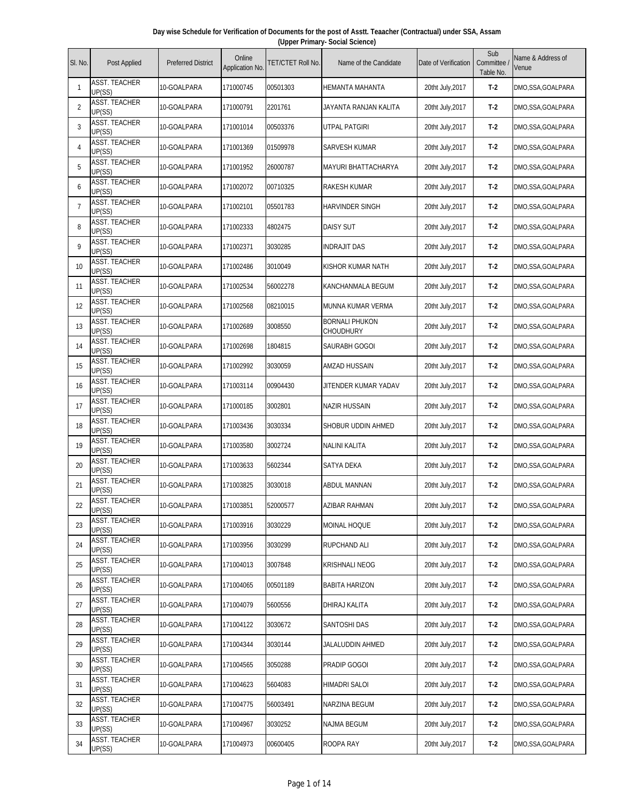| Day wise Schedule for Verification of Documents for the post of Asstt. Teaacher (Contractual) under SSA, Assam |                                 |  |  |  |  |  |  |  |  |
|----------------------------------------------------------------------------------------------------------------|---------------------------------|--|--|--|--|--|--|--|--|
|                                                                                                                | (Upper Primary- Social Science) |  |  |  |  |  |  |  |  |
|                                                                                                                |                                 |  |  |  |  |  |  |  |  |

| SI. No.        | Post Applied                   | <b>Preferred District</b> | Online<br>Application No. | TET/CTET Roll No. | Name of the Candidate              | Date of Verification | Sub<br>Committee<br>Table No. | Name & Address of<br>Venue |
|----------------|--------------------------------|---------------------------|---------------------------|-------------------|------------------------------------|----------------------|-------------------------------|----------------------------|
| 1              | ASST. TEACHER<br>UP(SS)        | 10-GOALPARA               | 171000745                 | 00501303          | HEMANTA MAHANTA                    | 20tht July, 2017     | $T-2$                         | DMO, SSA, GOALPARA         |
| $\overline{2}$ | ASST. TEACHER<br>UP(SS)        | 10-GOALPARA               | 171000791                 | 2201761           | JAYANTA RANJAN KALITA              | 20tht July, 2017     | $T-2$                         | DMO, SSA, GOALPARA         |
| 3              | ASST. TEACHER<br>UP(SS)        | 10-GOALPARA               | 171001014                 | 00503376          | <b>UTPAL PATGIRI</b>               | 20tht July, 2017     | $T-2$                         | DMO, SSA, GOALPARA         |
| 4              | <b>ASST. TEACHER</b><br>UP(SS) | 10-GOALPARA               | 171001369                 | 01509978          | SARVESH KUMAR                      | 20tht July, 2017     | $T-2$                         | DMO, SSA, GOALPARA         |
| 5              | ASST. TEACHER<br>UP(SS)        | 10-GOALPARA               | 171001952                 | 26000787          | <b>MAYURI BHATTACHARYA</b>         | 20tht July, 2017     | $T-2$                         | DMO, SSA, GOALPARA         |
| 6              | <b>ASST. TEACHER</b><br>UP(SS) | 10-GOALPARA               | 171002072                 | 00710325          | RAKESH KUMAR                       | 20tht July, 2017     | $T-2$                         | DMO, SSA, GOALPARA         |
| $\overline{7}$ | ASST. TEACHER<br>UP(SS)        | 10-GOALPARA               | 171002101                 | 05501783          | HARVINDER SINGH                    | 20tht July, 2017     | $T-2$                         | DMO, SSA, GOALPARA         |
| 8              | <b>ASST. TEACHER</b><br>UP(SS) | 10-GOALPARA               | 171002333                 | 4802475           | DAISY SUT                          | 20tht July, 2017     | $T-2$                         | DMO, SSA, GOALPARA         |
| 9              | ASST. TEACHER<br>UP(SS)        | 10-GOALPARA               | 171002371                 | 3030285           | <b>INDRAJIT DAS</b>                | 20tht July, 2017     | $T-2$                         | DMO, SSA, GOALPARA         |
| 10             | <b>ASST. TEACHER</b><br>UP(SS) | 10-GOALPARA               | 171002486                 | 3010049           | KISHOR KUMAR NATH                  | 20tht July, 2017     | $T-2$                         | DMO, SSA, GOALPARA         |
| 11             | <b>ASST. TEACHER</b><br>UP(SS) | 10-GOALPARA               | 171002534                 | 56002278          | KANCHANMALA BEGUM                  | 20tht July, 2017     | $T-2$                         | DMO, SSA, GOALPARA         |
| 12             | <b>ASST. TEACHER</b><br>UP(SS) | 10-GOALPARA               | 171002568                 | 08210015          | MUNNA KUMAR VERMA                  | 20tht July, 2017     | $T-2$                         | DMO, SSA, GOALPARA         |
| 13             | ASST. TEACHER<br>UP(SS)        | 10-GOALPARA               | 171002689                 | 3008550           | <b>BORNALI PHUKON</b><br>CHOUDHURY | 20tht July, 2017     | $T-2$                         | DMO, SSA, GOALPARA         |
| 14             | <b>ASST. TEACHER</b><br>UP(SS) | 10-GOALPARA               | 171002698                 | 1804815           | SAURABH GOGOI                      | 20tht July, 2017     | $T-2$                         | DMO, SSA, GOALPARA         |
| 15             | <b>ASST. TEACHER</b><br>UP(SS) | 10-GOALPARA               | 171002992                 | 3030059           | AMZAD HUSSAIN                      | 20tht July, 2017     | $T-2$                         | DMO, SSA, GOALPARA         |
| 16             | ASST. TEACHER<br>UP(SS)        | 10-GOALPARA               | 171003114                 | 00904430          | JITENDER KUMAR YADAV               | 20tht July, 2017     | $T-2$                         | DMO, SSA, GOALPARA         |
| 17             | ASST. TEACHER<br>UP(SS)        | 10-GOALPARA               | 171000185                 | 3002801           | NAZIR HUSSAIN                      | 20tht July, 2017     | $T-2$                         | DMO, SSA, GOALPARA         |
| 18             | <b>ASST. TEACHER</b><br>UP(SS) | 10-GOALPARA               | 171003436                 | 3030334           | SHOBUR UDDIN AHMED                 | 20tht July, 2017     | $T-2$                         | DMO, SSA, GOALPARA         |
| 19             | <b>ASST. TEACHER</b><br>UP(SS) | 10-GOALPARA               | 171003580                 | 3002724           | NALINI KALITA                      | 20tht July, 2017     | $T-2$                         | DMO, SSA, GOALPARA         |
| 20             | <b>ASST. TEACHER</b><br>UP(SS) | 10-GOALPARA               | 171003633                 | 5602344           | <b>SATYA DEKA</b>                  | 20tht July, 2017     | $T-2$                         | DMO, SSA, GOALPARA         |
| 21             | ASST. TEACHER<br>UP(SS)        | 10-GOALPARA               | 171003825                 | 3030018           | ABDUL MANNAN                       | 20tht July, 2017     | $T-2$                         | DMO, SSA, GOALPARA         |
| 22             | <b>ASST. TEACHER</b><br>UP(SS) | 10-GOALPARA               | 171003851                 | 52000577          | AZIBAR RAHMAN                      | 20tht July, 2017     | $T-2$                         | DMO, SSA, GOALPARA         |
| 23             | <b>ASST. TEACHER</b><br>UP(SS) | 10-GOALPARA               | 171003916                 | 3030229           | MOINAL HOQUE                       | 20tht July, 2017     | $T-2$                         | DMO, SSA, GOALPARA         |
| 24             | ASST. TEACHER<br>UP(SS)        | 10-GOALPARA               | 171003956                 | 3030299           | RUPCHAND ALI                       | 20tht July, 2017     | T-2                           | DMO, SSA, GOALPARA         |
| 25             | <b>ASST. TEACHER</b><br>UP(SS) | 10-GOALPARA               | 171004013                 | 3007848           | KRISHNALI NEOG                     | 20tht July, 2017     | $T-2$                         | DMO,SSA,GOALPARA           |
| 26             | <b>ASST. TEACHER</b><br>UP(SS) | 10-GOALPARA               | 171004065                 | 00501189          | BABITA HARIZON                     | 20tht July, 2017     | $T-2$                         | DMO, SSA, GOALPARA         |
| 27             | <b>ASST. TEACHER</b><br>UP(SS) | 10-GOALPARA               | 171004079                 | 5600556           | DHIRAJ KALITA                      | 20tht July, 2017     | T-2                           | DMO, SSA, GOALPARA         |
| 28             | <b>ASST. TEACHER</b><br>UP(SS) | 10-GOALPARA               | 171004122                 | 3030672           | SANTOSHI DAS                       | 20tht July, 2017     | $T-2$                         | DMO, SSA, GOALPARA         |
| 29             | <b>ASST. TEACHER</b><br>UP(SS) | 10-GOALPARA               | 171004344                 | 3030144           | JALALUDDIN AHMED                   | 20tht July, 2017     | $T-2$                         | DMO, SSA, GOALPARA         |
| 30             | <b>ASST. TEACHER</b><br>UP(SS) | 10-GOALPARA               | 171004565                 | 3050288           | PRADIP GOGOI                       | 20tht July, 2017     | $T-2$                         | DMO, SSA, GOALPARA         |
| 31             | <b>ASST. TEACHER</b><br>UP(SS) | 10-GOALPARA               | 171004623                 | 5604083           | HIMADRI SALOI                      | 20tht July, 2017     | $T-2$                         | DMO, SSA, GOALPARA         |
| 32             | <b>ASST. TEACHER</b><br>UP(SS) | 10-GOALPARA               | 171004775                 | 56003491          | NARZINA BEGUM                      | 20tht July, 2017     | $T-2$                         | DMO, SSA, GOALPARA         |
| 33             | <b>ASST. TEACHER</b><br>UP(SS) | 10-GOALPARA               | 171004967                 | 3030252           | <b>NAJMA BEGUM</b>                 | 20tht July, 2017     | $T-2$                         | DMO, SSA, GOALPARA         |
| 34             | <b>ASST. TEACHER</b><br>UP(SS) | 10-GOALPARA               | 171004973                 | 00600405          | ROOPA RAY                          | 20tht July, 2017     | $T-2$                         | DMO, SSA, GOALPARA         |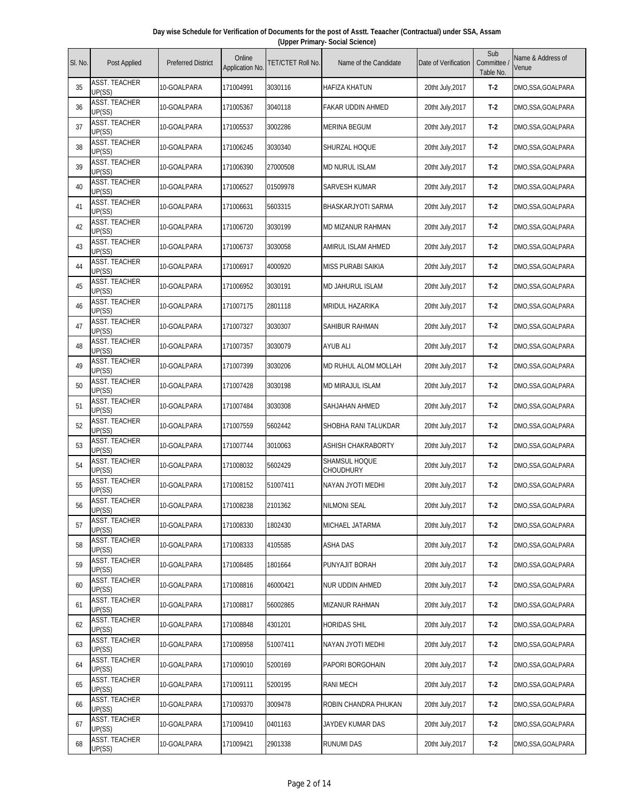| Day wise Schedule for Verification of Documents for the post of Asstt. Teaacher (Contractual) under SSA, Assam |  |  |  |  |  |  |  |  |  |
|----------------------------------------------------------------------------------------------------------------|--|--|--|--|--|--|--|--|--|
| (Upper Primary- Social Science)                                                                                |  |  |  |  |  |  |  |  |  |
|                                                                                                                |  |  |  |  |  |  |  |  |  |

| SI. No. | Post Applied                             | <b>Preferred District</b> | Online<br>Application No. | TET/CTET Roll No. | Name of the Candidate      | Date of Verification | Sub<br>Committee<br>Table No. | Name & Address of<br>Venue |
|---------|------------------------------------------|---------------------------|---------------------------|-------------------|----------------------------|----------------------|-------------------------------|----------------------------|
| 35      | <b>ASST. TEACHER</b><br>UP(SS)           | 10-GOALPARA               | 171004991                 | 3030116           | HAFIZA KHATUN              | 20tht July, 2017     | $T-2$                         | DMO, SSA, GOALPARA         |
| 36      | ASST. TEACHER<br>UP(SS)                  | 10-GOALPARA               | 171005367                 | 3040118           | FAKAR UDDIN AHMED          | 20tht July, 2017     | $T-2$                         | DMO, SSA, GOALPARA         |
| 37      | <b>ASST. TEACHER</b><br>UP(SS)           | 10-GOALPARA               | 171005537                 | 3002286           | MERINA BEGUM               | 20tht July, 2017     | $T-2$                         | DMO, SSA, GOALPARA         |
| 38      | ASST. TEACHER<br>UP(SS)                  | 10-GOALPARA               | 171006245                 | 3030340           | SHURZAL HOQUE              | 20tht July, 2017     | $T-2$                         | DMO, SSA, GOALPARA         |
| 39      | <b>ASST. TEACHER</b><br>UP(SS)           | 10-GOALPARA               | 171006390                 | 27000508          | <b>MD NURUL ISLAM</b>      | 20tht July, 2017     | $T-2$                         | DMO, SSA, GOALPARA         |
| 40      | <b>ASST. TEACHER</b><br>UP(SS)           | 10-GOALPARA               | 171006527                 | 01509978          | <b>SARVESH KUMAR</b>       | 20tht July, 2017     | $T-2$                         | DMO, SSA, GOALPARA         |
| 41      | <b>ASST. TEACHER</b><br>UP(SS)           | 10-GOALPARA               | 171006631                 | 5603315           | BHASKARJYOTI SARMA         | 20tht July, 2017     | $T-2$                         | DMO, SSA, GOALPARA         |
| 42      | <b>ASST. TEACHER</b><br>UP(SS)           | 10-GOALPARA               | 171006720                 | 3030199           | MD MIZANUR RAHMAN          | 20tht July, 2017     | $T-2$                         | DMO, SSA, GOALPARA         |
| 43      | ASST. TEACHER<br>UP(SS)                  | 10-GOALPARA               | 171006737                 | 3030058           | AMIRUL ISLAM AHMED         | 20tht July, 2017     | $T-2$                         | DMO, SSA, GOALPARA         |
| 44      | <b>ASST. TEACHER</b><br>UP(SS)           | 10-GOALPARA               | 171006917                 | 4000920           | MISS PURABI SAIKIA         | 20tht July, 2017     | $T-2$                         | DMO, SSA, GOALPARA         |
| 45      | <b>ASST. TEACHER</b><br>UP(SS)           | 10-GOALPARA               | 171006952                 | 3030191           | MD JAHURUL ISLAM           | 20tht July, 2017     | $T-2$                         | DMO, SSA, GOALPARA         |
| 46      | <b>ASST. TEACHER</b><br>UP(SS)           | 10-GOALPARA               | 171007175                 | 2801118           | MRIDUL HAZARIKA            | 20tht July, 2017     | $T-2$                         | DMO, SSA, GOALPARA         |
| 47      | <b>ASST. TEACHER</b><br>UP(SS)           | 10-GOALPARA               | 171007327                 | 3030307           | SAHIBUR RAHMAN             | 20tht July, 2017     | $T-2$                         | DMO, SSA, GOALPARA         |
| 48      | <b>ASST. TEACHER</b><br>UP(SS)           | 10-GOALPARA               | 171007357                 | 3030079           | <b>AYUB ALI</b>            | 20tht July, 2017     | $T-2$                         | DMO, SSA, GOALPARA         |
| 49      | <b>ASST. TEACHER</b><br>UP(SS)           | 10-GOALPARA               | 171007399                 | 3030206           | MD RUHUL ALOM MOLLAH       | 20tht July, 2017     | $T-2$                         | DMO, SSA, GOALPARA         |
| 50      | <b>ASST. TEACHER</b><br>UP(SS)           | 10-GOALPARA               | 171007428                 | 3030198           | <b>MD MIRAJUL ISLAM</b>    | 20tht July, 2017     | $T-2$                         | DMO, SSA, GOALPARA         |
| 51      | <b>ASST. TEACHER</b><br>UP(SS)           | 10-GOALPARA               | 171007484                 | 3030308           | SAHJAHAN AHMED             | 20tht July, 2017     | $T-2$                         | DMO, SSA, GOALPARA         |
| 52      | <b>ASST. TEACHER</b><br>UP(SS)           | 10-GOALPARA               | 171007559                 | 5602442           | SHOBHA RANI TALUKDAR       | 20tht July, 2017     | $T-2$                         | DMO, SSA, GOALPARA         |
| 53      | <b>ASST. TEACHER</b><br>UP(SS)           | 10-GOALPARA               | 171007744                 | 3010063           | ASHISH CHAKRABORTY         | 20tht July, 2017     | $T-2$                         | DMO, SSA, GOALPARA         |
| 54      | <b>ASST. TEACHER</b><br>UP(SS)           | 10-GOALPARA               | 171008032                 | 5602429           | SHAMSUL HOQUE<br>CHOUDHURY | 20tht July, 2017     | $T-2$                         | DMO, SSA, GOALPARA         |
| 55      | <b>ASST. TEACHER</b><br>UP(SS)           | 10-GOALPARA               | 171008152                 | 51007411          | NAYAN JYOTI MEDHI          | 20tht July, 2017     | $T-2$                         | DMO, SSA, GOALPARA         |
| 56      | <b>ASST. TEACHER</b><br>UP(SS)           | 10-GOALPARA               | 171008238                 | 2101362           | NILMONI SEAL               | 20tht July, 2017     | T-2                           | DMO, SSA, GOALPARA         |
| 57      | ASST. TEACHER<br>UP(SS)                  | 10-GOALPARA               | 171008330                 | 1802430           | MICHAEL JATARMA            | 20tht July, 2017     | $T-2$                         | DMO, SSA, GOALPARA         |
| 58      | <b>ASST. TEACHER</b><br>UP(SS)           | 10-GOALPARA               | 171008333                 | 4105585           | <b>ASHA DAS</b>            | 20tht July, 2017     | $T-2$                         | DMO, SSA, GOALPARA         |
| 59      | <b>ASST. TEACHER</b><br>UP(SS)           | 10-GOALPARA               | 171008485                 | 1801664           | PUNYAJIT BORAH             | 20tht July, 2017     | $T-2$                         | DMO, SSA, GOALPARA         |
| 60      | <b>ASST. TEACHER</b><br>UP(SS)           | 10-GOALPARA               | 171008816                 | 46000421          | NUR UDDIN AHMED            | 20tht July, 2017     | $T-2$                         | DMO, SSA, GOALPARA         |
| 61      | <b>ASST. TEACHER</b><br>UP(SS)           | 10-GOALPARA               | 171008817                 | 56002865          | MIZANUR RAHMAN             | 20tht July, 2017     | $T-2$                         | DMO, SSA, GOALPARA         |
| 62      | <b>ASST. TEACHER</b><br>UP(SS)           | 10-GOALPARA               | 171008848                 | 4301201           | HORIDAS SHIL               | 20tht July, 2017     | $T-2$                         | DMO, SSA, GOALPARA         |
| 63      | <b>ASST. TEACHER</b><br>UP(SS)           | 10-GOALPARA               | 171008958                 | 51007411          | NAYAN JYOTI MEDHI          | 20tht July, 2017     | $T-2$                         | DMO, SSA, GOALPARA         |
| 64      | <b>ASST. TEACHER</b><br>UP(SS)           | 10-GOALPARA               | 171009010                 | 5200169           | PAPORI BORGOHAIN           | 20tht July, 2017     | $T-2$                         | DMO, SSA, GOALPARA         |
| 65      | <b>ASST. TEACHER</b><br>UP(SS)           | 10-GOALPARA               | 171009111                 | 5200195           | <b>RANI MECH</b>           | 20tht July, 2017     | $T-2$                         | DMO, SSA, GOALPARA         |
| 66      | <b>ASST. TEACHER</b><br>UP(SS)           | 10-GOALPARA               | 171009370                 | 3009478           | ROBIN CHANDRA PHUKAN       | 20tht July, 2017     | $T-2$                         | DMO, SSA, GOALPARA         |
| 67      | <b>ASST. TEACHER</b>                     | 10-GOALPARA               | 171009410                 | 0401163           | JAYDEV KUMAR DAS           | 20tht July, 2017     | $T-2$                         | DMO, SSA, GOALPARA         |
| 68      | UP(SS)<br><b>ASST. TEACHER</b><br>UP(SS) | 10-GOALPARA               | 171009421                 | 2901338           | <b>RUNUMI DAS</b>          | 20tht July, 2017     | $T-2$                         | DMO, SSA, GOALPARA         |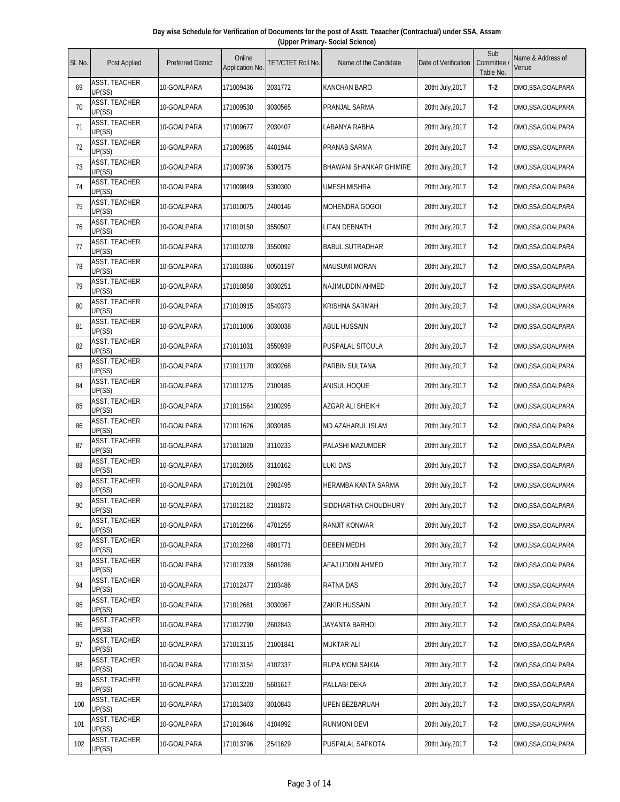| Day wise Schedule for Verification of Documents for the post of Asstt. Teaacher (Contractual) under SSA, Assam |  |
|----------------------------------------------------------------------------------------------------------------|--|
| (Upper Primary- Social Science)                                                                                |  |

| SI. No. | Post Applied                   | <b>Preferred District</b> | Online<br>Application No. | TET/CTET Roll No. | Name of the Candidate    | Date of Verification | Sub<br>Committee<br>Table No. | Name & Address of<br>Venue |
|---------|--------------------------------|---------------------------|---------------------------|-------------------|--------------------------|----------------------|-------------------------------|----------------------------|
| 69      | ASST. TEACHER<br>UP(SS)        | 10-GOALPARA               | 171009436                 | 2031772           | <b>KANCHAN BARO</b>      | 20tht July, 2017     | $T-2$                         | DMO,SSA,GOALPARA           |
| 70      | ASST. TEACHER<br>UP(SS)        | 10-GOALPARA               | 171009530                 | 3030565           | PRANJAL SARMA            | 20tht July, 2017     | $T-2$                         | DMO, SSA, GOALPARA         |
| 71      | <b>ASST. TEACHER</b><br>UP(SS) | 10-GOALPARA               | 171009677                 | 2030407           | LABANYA RABHA            | 20tht July, 2017     | $T-2$                         | DMO,SSA,GOALPARA           |
| 72      | <b>ASST. TEACHER</b><br>UP(SS) | 10-GOALPARA               | 171009685                 | 4401944           | PRANAB SARMA             | 20tht July, 2017     | $T-2$                         | DMO,SSA,GOALPARA           |
| 73      | <b>ASST. TEACHER</b><br>UP(SS) | 10-GOALPARA               | 171009736                 | 5300175           | BHAWANI SHANKAR GHIMIRE  | 20tht July, 2017     | $T-2$                         | DMO, SSA, GOALPARA         |
| 74      | ASST. TEACHER<br>UP(SS)        | 10-GOALPARA               | 171009849                 | 5300300           | UMESH MISHRA             | 20tht July, 2017     | $T-2$                         | DMO,SSA,GOALPARA           |
| 75      | <b>ASST. TEACHER</b><br>UP(SS) | 10-GOALPARA               | 171010075                 | 2400146           | <b>MOHENDRA GOGOI</b>    | 20tht July, 2017     | $T-2$                         | DMO,SSA,GOALPARA           |
| 76      | <b>ASST. TEACHER</b><br>UP(SS) | 10-GOALPARA               | 171010150                 | 3550507           | <b>LITAN DEBNATH</b>     | 20tht July, 2017     | $T-2$                         | DMO,SSA,GOALPARA           |
| 77      | ASST. TEACHER<br>UP(SS)        | 10-GOALPARA               | 171010278                 | 3550092           | <b>BABUL SUTRADHAR</b>   | 20tht July, 2017     | $T-2$                         | DMO,SSA,GOALPARA           |
| 78      | <b>ASST. TEACHER</b><br>UP(SS) | 10-GOALPARA               | 171010386                 | 00501197          | <b>MAUSUMI MORAN</b>     | 20tht July, 2017     | $T-2$                         | DMO,SSA,GOALPARA           |
| 79      | <b>ASST. TEACHER</b><br>UP(SS) | 10-GOALPARA               | 171010858                 | 3030251           | NAJIMUDDIN AHMED         | 20tht July, 2017     | $T-2$                         | DMO,SSA,GOALPARA           |
| 80      | <b>ASST. TEACHER</b><br>UP(SS) | 10-GOALPARA               | 171010915                 | 3540373           | KRISHNA SARMAH           | 20tht July, 2017     | $T-2$                         | DMO, SSA, GOALPARA         |
| 81      | <b>ASST. TEACHER</b><br>UP(SS) | 10-GOALPARA               | 171011006                 | 3030038           | <b>ABUL HUSSAIN</b>      | 20tht July, 2017     | $T-2$                         | DMO,SSA,GOALPARA           |
| 82      | <b>ASST. TEACHER</b><br>UP(SS) | 10-GOALPARA               | 171011031                 | 3550939           | PUSPALAL SITOULA         | 20tht July, 2017     | $T-2$                         | DMO,SSA,GOALPARA           |
| 83      | <b>ASST. TEACHER</b><br>UP(SS) | 10-GOALPARA               | 171011170                 | 3030268           | PARBIN SULTANA           | 20tht July, 2017     | $T-2$                         | DMO,SSA,GOALPARA           |
| 84      | <b>ASST. TEACHER</b><br>UP(SS) | 10-GOALPARA               | 171011275                 | 2100185           | <b>ANISUL HOQUE</b>      | 20tht July, 2017     | $T-2$                         | DMO,SSA,GOALPARA           |
| 85      | <b>ASST. TEACHER</b><br>UP(SS) | 10-GOALPARA               | 171011564                 | 2100295           | AZGAR ALI SHEIKH         | 20tht July, 2017     | $T-2$                         | DMO,SSA,GOALPARA           |
| 86      | <b>ASST. TEACHER</b><br>UP(SS) | 10-GOALPARA               | 171011626                 | 3030185           | <b>MD AZAHARUL ISLAM</b> | 20tht July, 2017     | $T-2$                         | DMO,SSA,GOALPARA           |
| 87      | <b>ASST. TEACHER</b><br>UP(SS) | 10-GOALPARA               | 171011820                 | 3110233           | PALASHI MAZUMDER         | 20tht July, 2017     | $T-2$                         | DMO,SSA,GOALPARA           |
| 88      | <b>ASST. TEACHER</b><br>UP(SS) | 10-GOALPARA               | 171012065                 | 3110162           | <b>LUKI DAS</b>          | 20tht July, 2017     | $T-2$                         | DMO,SSA,GOALPARA           |
| 89      | <b>ASST. TEACHER</b><br>UP(SS) | 10-GOALPARA               | 171012101                 | 2902495           | HERAMBA KANTA SARMA      | 20tht July, 2017     | $T-2$                         | DMO,SSA,GOALPARA           |
| 90      | <b>ASST. TEACHER</b><br>UP(SS) | 10-GOALPARA               | 171012182                 | 2101872           | SIDDHARTHA CHOUDHURY     | 20tht July, 2017     | T-2                           | DMO,SSA,GOALPARA           |
| 91      | ASST. TEACHER<br>UP(SS)        | 10-GOALPARA               | 171012266                 | 4701255           | RANJIT KONWAR            | 20tht July, 2017     | $T-2$                         | DMO,SSA,GOALPARA           |
| 92      | <b>ASST. TEACHER</b><br>UP(SS) | 10-GOALPARA               | 171012268                 | 4801771           | <b>DEBEN MEDHI</b>       | 20tht July, 2017     | $T-2$                         | DMO,SSA,GOALPARA           |
| 93      | <b>ASST. TEACHER</b><br>UP(SS) | 10-GOALPARA               | 171012339                 | 5601286           | AFAJ UDDIN AHMED         | 20tht July, 2017     | $T-2$                         | DMO,SSA,GOALPARA           |
| 94      | <b>ASST. TEACHER</b><br>UP(SS) | 10-GOALPARA               | 171012477                 | 2103486           | RATNA DAS                | 20tht July, 2017     | $T-2$                         | DMO,SSA,GOALPARA           |
| 95      | ASST. TEACHER<br>UP(SS)        | 10-GOALPARA               | 171012681                 | 3030367           | ZAKIR.HUSSAIN            | 20tht July, 2017     | $T-2$                         | DMO,SSA,GOALPARA           |
| 96      | <b>ASST. TEACHER</b><br>UP(SS) | 10-GOALPARA               | 171012790                 | 2602843           | JAYANTA BARHOI           | 20tht July, 2017     | $T-2$                         | DMO,SSA,GOALPARA           |
| 97      | <b>ASST. TEACHER</b><br>UP(SS) | 10-GOALPARA               | 171013115                 | 21001841          | <b>MUKTAR ALI</b>        | 20tht July, 2017     | $T-2$                         | DMO,SSA,GOALPARA           |
| 98      | <b>ASST. TEACHER</b><br>UP(SS) | 10-GOALPARA               | 171013154                 | 4102337           | RUPA MONI SAIKIA         | 20tht July, 2017     | $T-2$                         | DMO,SSA,GOALPARA           |
| 99      | ASST. TEACHER<br>UP(SS)        | 10-GOALPARA               | 171013220                 | 5601617           | PALLABI DEKA             | 20tht July, 2017     | $T-2$                         | DMO,SSA,GOALPARA           |
| 100     | <b>ASST. TEACHER</b><br>UP(SS) | 10-GOALPARA               | 171013403                 | 3010843           | UPEN BEZBARUAH           | 20tht July, 2017     | $T-2$                         | DMO,SSA,GOALPARA           |
| 101     | ASST. TEACHER<br>UP(SS)        | 10-GOALPARA               | 171013646                 | 4104992           | RUNMONI DEVI             | 20tht July, 2017     | $T-2$                         | DMO,SSA,GOALPARA           |
| 102     | ASST. TEACHER<br>UP(SS)        | 10-GOALPARA               | 171013796                 | 2541629           | PUSPALAL SAPKOTA         | 20tht July, 2017     | $T-2$                         | DMO,SSA,GOALPARA           |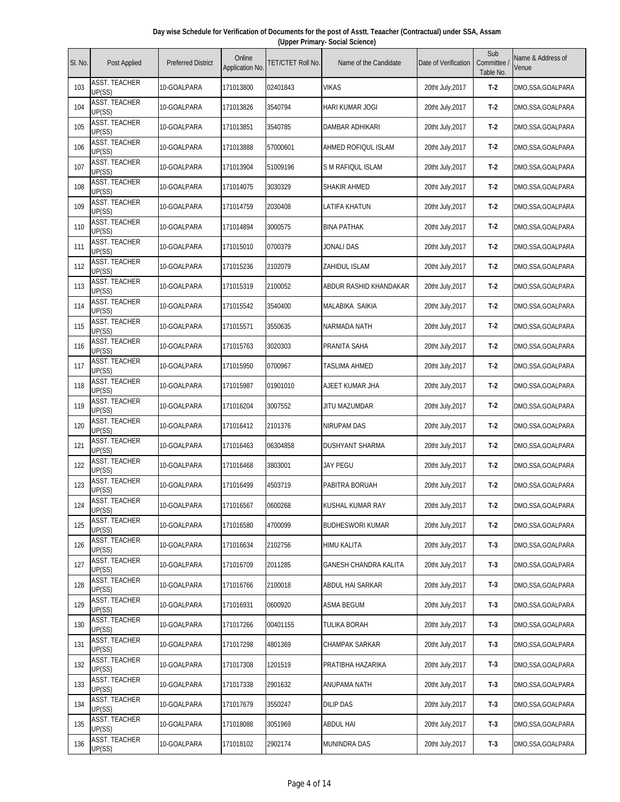| Day wise Schedule for Verification of Documents for the post of Asstt. Teaacher (Contractual) under SSA, Assam |  |  |  |  |  |  |  |  |  |
|----------------------------------------------------------------------------------------------------------------|--|--|--|--|--|--|--|--|--|
| (Upper Primary- Social Science)                                                                                |  |  |  |  |  |  |  |  |  |
|                                                                                                                |  |  |  |  |  |  |  |  |  |

| SI. No. | Post Applied                   | <b>Preferred District</b> | Online<br>Application No. | TET/CTET Roll No. | Name of the Candidate        | Date of Verification | Sub<br>Committee<br>Table No. | Name & Address of<br>Venue |
|---------|--------------------------------|---------------------------|---------------------------|-------------------|------------------------------|----------------------|-------------------------------|----------------------------|
| 103     | ASST. TEACHER<br>UP(SS)        | 10-GOALPARA               | 171013800                 | 02401843          | <b>VIKAS</b>                 | 20tht July, 2017     | $T-2$                         | DMO, SSA, GOALPARA         |
| 104     | <b>ASST. TEACHER</b><br>UP(SS) | 10-GOALPARA               | 171013826                 | 3540794           | <b>HARI KUMAR JOGI</b>       | 20tht July, 2017     | $T-2$                         | DMO, SSA, GOALPARA         |
| 105     | <b>ASST. TEACHER</b><br>UP(SS) | 10-GOALPARA               | 171013851                 | 3540785           | DAMBAR ADHIKARI              | 20tht July, 2017     | $T-2$                         | DMO,SSA,GOALPARA           |
| 106     | <b>ASST. TEACHER</b><br>UP(SS) | 10-GOALPARA               | 171013888                 | 57000601          | AHMED ROFIQUL ISLAM          | 20tht July, 2017     | $T-2$                         | DMO,SSA,GOALPARA           |
| 107     | <b>ASST. TEACHER</b><br>UP(SS) | 10-GOALPARA               | 171013904                 | 51009196          | S M RAFIQUL ISLAM            | 20tht July, 2017     | $T-2$                         | DMO, SSA, GOALPARA         |
| 108     | <b>ASST. TEACHER</b><br>UP(SS) | 10-GOALPARA               | 171014075                 | 3030329           | SHAKIR AHMED                 | 20tht July, 2017     | $T-2$                         | DMO, SSA, GOALPARA         |
| 109     | <b>ASST. TEACHER</b><br>UP(SS) | 10-GOALPARA               | 171014759                 | 2030408           | LATIFA KHATUN                | 20tht July, 2017     | $T-2$                         | DMO, SSA, GOALPARA         |
| 110     | <b>ASST. TEACHER</b><br>UP(SS) | 10-GOALPARA               | 171014894                 | 3000575           | <b>BINA PATHAK</b>           | 20tht July, 2017     | $T-2$                         | DMO, SSA, GOALPARA         |
| 111     | <b>ASST. TEACHER</b><br>UP(SS) | 10-GOALPARA               | 171015010                 | 0700379           | <b>JONALI DAS</b>            | 20tht July, 2017     | $T-2$                         | DMO, SSA, GOALPARA         |
| 112     | <b>ASST. TEACHER</b><br>UP(SS) | 10-GOALPARA               | 171015236                 | 2102079           | ZAHIDUL ISLAM                | 20tht July, 2017     | $T-2$                         | DMO,SSA,GOALPARA           |
| 113     | <b>ASST. TEACHER</b><br>UP(SS) | 10-GOALPARA               | 171015319                 | 2100052           | ABDUR RASHID KHANDAKAR       | 20tht July, 2017     | $T-2$                         | DMO, SSA, GOALPARA         |
| 114     | ASST. TEACHER<br>UP(SS)        | 10-GOALPARA               | 171015542                 | 3540400           | MALABIKA SAIKIA              | 20tht July, 2017     | $T-2$                         | DMO, SSA, GOALPARA         |
| 115     | <b>ASST. TEACHER</b><br>UP(SS) | 10-GOALPARA               | 171015571                 | 3550635           | NARMADA NATH                 | 20tht July, 2017     | $T-2$                         | DMO, SSA, GOALPARA         |
| 116     | ASST. TEACHER<br>UP(SS)        | 10-GOALPARA               | 171015763                 | 3020303           | PRANITA SAHA                 | 20tht July, 2017     | $T-2$                         | DMO, SSA, GOALPARA         |
| 117     | <b>ASST. TEACHER</b><br>UP(SS) | 10-GOALPARA               | 171015950                 | 0700967           | TASLIMA AHMED                | 20tht July, 2017     | $T-2$                         | DMO, SSA, GOALPARA         |
| 118     | ASST. TEACHER<br>UP(SS)        | 10-GOALPARA               | 171015987                 | 01901010          | AJEET KUMAR JHA              | 20tht July, 2017     | $T-2$                         | DMO, SSA, GOALPARA         |
| 119     | <b>ASST. TEACHER</b><br>UP(SS) | 10-GOALPARA               | 171016204                 | 3007552           | JITU MAZUMDAR                | 20tht July, 2017     | $T-2$                         | DMO, SSA, GOALPARA         |
| 120     | <b>ASST. TEACHER</b><br>UP(SS) | 10-GOALPARA               | 171016412                 | 2101376           | NIRUPAM DAS                  | 20tht July, 2017     | $T-2$                         | DMO,SSA,GOALPARA           |
| 121     | <b>ASST. TEACHER</b><br>UP(SS) | 10-GOALPARA               | 171016463                 | 06304858          | DUSHYANT SHARMA              | 20tht July, 2017     | $T-2$                         | DMO,SSA,GOALPARA           |
| 122     | <b>ASST. TEACHER</b><br>UP(SS) | 10-GOALPARA               | 171016468                 | 3803001           | JAY PEGU                     | 20tht July, 2017     | $T-2$                         | DMO, SSA, GOALPARA         |
| 123     | <b>ASST. TEACHER</b><br>UP(SS) | 10-GOALPARA               | 171016499                 | 4503719           | PABITRA BORUAH               | 20tht July, 2017     | $T-2$                         | DMO,SSA,GOALPARA           |
| 124     | <b>ASST. TEACHER</b><br>UP(SS) | 10-GOALPARA               | 171016567                 | 0600268           | KUSHAL KUMAR RAY             | 20tht July, 2017     | T-2                           | DMO, SSA, GOALPARA         |
| 125     | ASST. TEACHER<br>UP(SS)        | 10-GOALPARA               | 171016580                 | 4700099           | <b>BUDHESWORI KUMAR</b>      | 20tht July, 2017     | $T-2$                         | DMO, SSA, GOALPARA         |
| 126     | <b>ASST. TEACHER</b><br>UP(SS) | 10-GOALPARA               | 171016634                 | 2102756           | HIMU KALITA                  | 20tht July, 2017     | $T-3$                         | DMO, SSA, GOALPARA         |
| 127     | <b>ASST. TEACHER</b><br>UP(SS) | 10-GOALPARA               | 171016709                 | 2011285           | <b>GANESH CHANDRA KALITA</b> | 20tht July, 2017     | $T-3$                         | DMO,SSA,GOALPARA           |
| 128     | <b>ASST. TEACHER</b><br>UP(SS) | 10-GOALPARA               | 171016766                 | 2100018           | ABDUL HAI SARKAR             | 20tht July, 2017     | $T-3$                         | DMO, SSA, GOALPARA         |
| 129     | ASST. TEACHER<br>UP(SS)        | 10-GOALPARA               | 171016931                 | 0600920           | <b>ASMA BEGUM</b>            | 20tht July, 2017     | $T-3$                         | DMO, SSA, GOALPARA         |
| 130     | ASST. TEACHER<br>UP(SS)        | 10-GOALPARA               | 171017266                 | 00401155          | TULIKA BORAH                 | 20tht July, 2017     | $T-3$                         | DMO, SSA, GOALPARA         |
| 131     | <b>ASST. TEACHER</b><br>UP(SS) | 10-GOALPARA               | 171017298                 | 4801369           | CHAMPAK SARKAR               | 20tht July, 2017     | $T-3$                         | DMO,SSA,GOALPARA           |
| 132     | <b>ASST. TEACHER</b><br>UP(SS) | 10-GOALPARA               | 171017308                 | 1201519           | PRATIBHA HAZARIKA            | 20tht July, 2017     | $T-3$                         | DMO,SSA,GOALPARA           |
| 133     | <b>ASST. TEACHER</b><br>UP(SS) | 10-GOALPARA               | 171017338                 | 2901632           | ANUPAMA NATH                 | 20tht July, 2017     | $T-3$                         | DMO, SSA, GOALPARA         |
| 134     | ASST. TEACHER<br>UP(SS)        | 10-GOALPARA               | 171017679                 | 3550247           | <b>DILIP DAS</b>             | 20tht July, 2017     | $T-3$                         | DMO,SSA,GOALPARA           |
| 135     | <b>ASST. TEACHER</b><br>UP(SS) | 10-GOALPARA               | 171018088                 | 3051969           | <b>ABDUL HAI</b>             | 20tht July, 2017     | $T-3$                         | DMO,SSA,GOALPARA           |
| 136     | <b>ASST. TEACHER</b><br>UP(SS) | 10-GOALPARA               | 171018102                 | 2902174           | <b>MUNINDRA DAS</b>          | 20tht July, 2017     | $T-3$                         | DMO, SSA, GOALPARA         |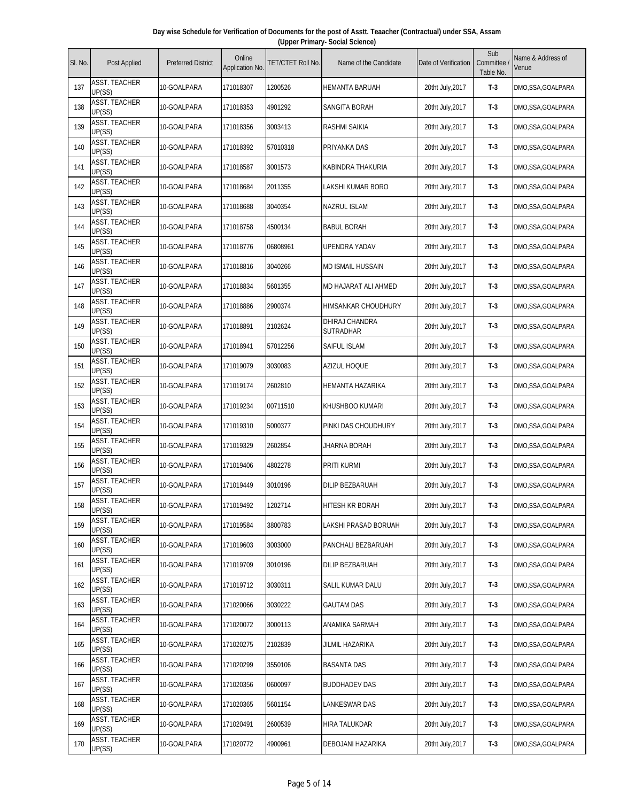| Day wise Schedule for Verification of Documents for the post of Asstt. Teaacher (Contractual) under SSA, Assam |  |
|----------------------------------------------------------------------------------------------------------------|--|
| (Upper Primary- Social Science)                                                                                |  |

| SI. No. | Post Applied                   | <b>Preferred District</b> | Online<br>Application No. | <b>TET/CTET Roll No.</b> | Name of the Candidate       | Date of Verification | Sub<br>Committee<br>Table No. | Name & Address of<br>Venue |
|---------|--------------------------------|---------------------------|---------------------------|--------------------------|-----------------------------|----------------------|-------------------------------|----------------------------|
| 137     | ASST. TEACHER<br>UP(SS)        | 10-GOALPARA               | 171018307                 | 1200526                  | HEMANTA BARUAH              | 20tht July, 2017     | $T-3$                         | DMO, SSA, GOALPARA         |
| 138     | <b>ASST. TEACHER</b><br>UP(SS) | 10-GOALPARA               | 171018353                 | 4901292                  | <b>SANGITA BORAH</b>        | 20tht July, 2017     | $T-3$                         | DMO, SSA, GOALPARA         |
| 139     | <b>ASST. TEACHER</b><br>UP(SS) | 10-GOALPARA               | 171018356                 | 3003413                  | RASHMI SAIKIA               | 20tht July, 2017     | $T-3$                         | DMO, SSA, GOALPARA         |
| 140     | <b>ASST. TEACHER</b><br>UP(SS) | 10-GOALPARA               | 171018392                 | 57010318                 | PRIYANKA DAS                | 20tht July, 2017     | $T-3$                         | DMO, SSA, GOALPARA         |
| 141     | <b>ASST. TEACHER</b><br>UP(SS) | 10-GOALPARA               | 171018587                 | 3001573                  | KABINDRA THAKURIA           | 20tht July, 2017     | $T-3$                         | DMO, SSA, GOALPARA         |
| 142     | <b>ASST. TEACHER</b><br>UP(SS) | 10-GOALPARA               | 171018684                 | 2011355                  | LAKSHI KUMAR BORO           | 20tht July, 2017     | $T-3$                         | DMO, SSA, GOALPARA         |
| 143     | <b>ASST. TEACHER</b><br>UP(SS) | 10-GOALPARA               | 171018688                 | 3040354                  | NAZRUL ISLAM                | 20tht July, 2017     | $T-3$                         | DMO, SSA, GOALPARA         |
| 144     | <b>ASST. TEACHER</b><br>UP(SS) | 10-GOALPARA               | 171018758                 | 4500134                  | <b>BABUL BORAH</b>          | 20tht July, 2017     | $T-3$                         | DMO, SSA, GOALPARA         |
| 145     | ASST. TEACHER<br>UP(SS)        | 10-GOALPARA               | 171018776                 | 06808961                 | UPENDRA YADAV               | 20tht July, 2017     | $T-3$                         | DMO, SSA, GOALPARA         |
| 146     | <b>ASST. TEACHER</b><br>UP(SS) | 10-GOALPARA               | 171018816                 | 3040266                  | <b>MD ISMAIL HUSSAIN</b>    | 20tht July, 2017     | $T-3$                         | DMO, SSA, GOALPARA         |
| 147     | <b>ASST. TEACHER</b><br>UP(SS) | 10-GOALPARA               | 171018834                 | 5601355                  | MD HAJARAT ALI AHMED        | 20tht July, 2017     | $T-3$                         | DMO, SSA, GOALPARA         |
| 148     | <b>ASST. TEACHER</b><br>UP(SS) | 10-GOALPARA               | 171018886                 | 2900374                  | HIMSANKAR CHOUDHURY         | 20tht July, 2017     | $T-3$                         | DMO, SSA, GOALPARA         |
| 149     | <b>ASST. TEACHER</b><br>UP(SS) | 10-GOALPARA               | 171018891                 | 2102624                  | DHIRAJ CHANDRA<br>SUTRADHAR | 20tht July, 2017     | $T-3$                         | DMO, SSA, GOALPARA         |
| 150     | ASST. TEACHER<br>UP(SS)        | 10-GOALPARA               | 171018941                 | 57012256                 | SAIFUL ISLAM                | 20tht July, 2017     | $T-3$                         | DMO,SSA,GOALPARA           |
| 151     | <b>ASST. TEACHER</b><br>UP(SS) | 10-GOALPARA               | 171019079                 | 3030083                  | <b>AZIZUL HOQUE</b>         | 20tht July, 2017     | $T-3$                         | DMO, SSA, GOALPARA         |
| 152     | ASST. TEACHER<br>UP(SS)        | 10-GOALPARA               | 171019174                 | 2602810                  | HEMANTA HAZARIKA            | 20tht July, 2017     | $T-3$                         | DMO, SSA, GOALPARA         |
| 153     | ASST. TEACHER<br>UP(SS)        | 10-GOALPARA               | 171019234                 | 00711510                 | KHUSHBOO KUMARI             | 20tht July, 2017     | $T-3$                         | DMO, SSA, GOALPARA         |
| 154     | <b>ASST. TEACHER</b><br>UP(SS) | 10-GOALPARA               | 171019310                 | 5000377                  | PINKI DAS CHOUDHURY         | 20tht July, 2017     | $T-3$                         | DMO, SSA, GOALPARA         |
| 155     | <b>ASST. TEACHER</b><br>UP(SS) | 10-GOALPARA               | 171019329                 | 2602854                  | <b>JHARNA BORAH</b>         | 20tht July, 2017     | $T-3$                         | DMO, SSA, GOALPARA         |
| 156     | ASST. TEACHER<br>UP(SS)        | 10-GOALPARA               | 171019406                 | 4802278                  | PRITI KURMI                 | 20tht July, 2017     | $T-3$                         | DMO, SSA, GOALPARA         |
| 157     | <b>ASST. TEACHER</b><br>UP(SS) | 10-GOALPARA               | 171019449                 | 3010196                  | DILIP BEZBARUAH             | 20tht July, 2017     | $T-3$                         | DMO, SSA, GOALPARA         |
| 158     | <b>ASST. TEACHER</b><br>UP(SS) | 10-GOALPARA               | 171019492                 | 1202714                  | HITESH KR BORAH             | 20tht July, 2017     | $T-3$                         | DMO, SSA, GOALPARA         |
| 159     | <b>ASST. TEACHER</b><br>UP(SS) | 10-GOALPARA               | 171019584                 | 3800783                  | LAKSHI PRASAD BORUAH        | 20tht July, 2017     | $T-3$                         | DMO, SSA, GOALPARA         |
| 160     | <b>ASST. TEACHER</b><br>UP(SS) | 10-GOALPARA               | 171019603                 | 3003000                  | PANCHALI BEZBARUAH          | 20tht July, 2017     | $T-3$                         | DMO,SSA,GOALPARA           |
| 161     | <b>ASST. TEACHER</b><br>UP(SS) | 10-GOALPARA               | 171019709                 | 3010196                  | DILIP BEZBARUAH             | 20tht July, 2017     | $T-3$                         | DMO,SSA,GOALPARA           |
| 162     | <b>ASST. TEACHER</b><br>UP(SS) | 10-GOALPARA               | 171019712                 | 3030311                  | SALIL KUMAR DALU            | 20tht July, 2017     | $T-3$                         | DMO, SSA, GOALPARA         |
| 163     | <b>ASST. TEACHER</b><br>UP(SS) | 10-GOALPARA               | 171020066                 | 3030222                  | <b>GAUTAM DAS</b>           | 20tht July, 2017     | $T-3$                         | DMO, SSA, GOALPARA         |
| 164     | <b>ASST. TEACHER</b><br>UP(SS) | 10-GOALPARA               | 171020072                 | 3000113                  | ANAMIKA SARMAH              | 20tht July, 2017     | $T-3$                         | DMO, SSA, GOALPARA         |
| 165     | <b>ASST. TEACHER</b><br>UP(SS) | 10-GOALPARA               | 171020275                 | 2102839                  | JILMIL HAZARIKA             | 20tht July, 2017     | $T-3$                         | DMO, SSA, GOALPARA         |
| 166     | <b>ASST. TEACHER</b><br>UP(SS) | 10-GOALPARA               | 171020299                 | 3550106                  | <b>BASANTA DAS</b>          | 20tht July, 2017     | $T-3$                         | DMO, SSA, GOALPARA         |
| 167     | <b>ASST. TEACHER</b><br>UP(SS) | 10-GOALPARA               | 171020356                 | 0600097                  | <b>BUDDHADEV DAS</b>        | 20tht July, 2017     | $T-3$                         | DMO, SSA, GOALPARA         |
| 168     | <b>ASST. TEACHER</b><br>UP(SS) | 10-GOALPARA               | 171020365                 | 5601154                  | LANKESWAR DAS               | 20tht July, 2017     | $T-3$                         | DMO, SSA, GOALPARA         |
| 169     | <b>ASST. TEACHER</b><br>UP(SS) | 10-GOALPARA               | 171020491                 | 2600539                  | HIRA TALUKDAR               | 20tht July, 2017     | $T-3$                         | DMO, SSA, GOALPARA         |
| 170     | ASST. TEACHER<br>UP(SS)        | 10-GOALPARA               | 171020772                 | 4900961                  | DEBOJANI HAZARIKA           | 20tht July, 2017     | $T-3$                         | DMO, SSA, GOALPARA         |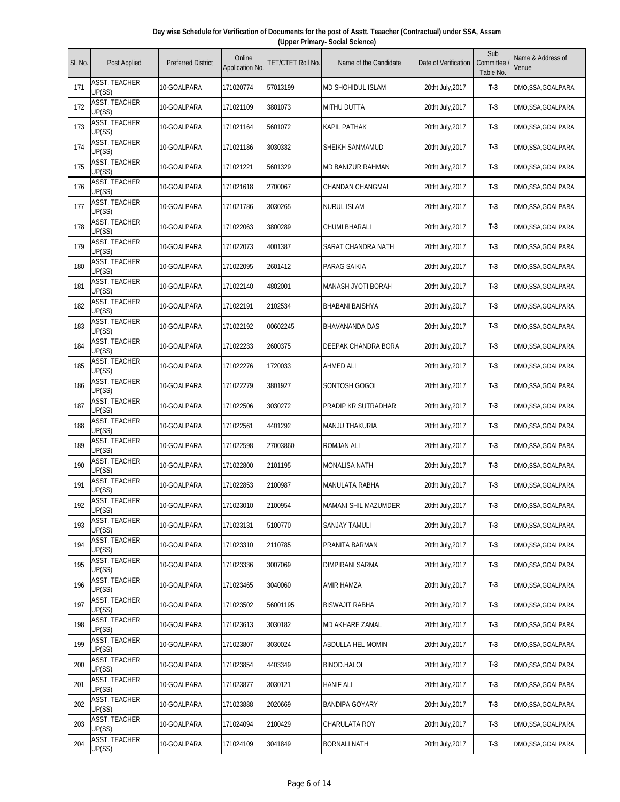| Day wise Schedule for Verification of Documents for the post of Asstt. Teaacher (Contractual) under SSA, Assam |  |
|----------------------------------------------------------------------------------------------------------------|--|
| (Upper Primary- Social Science)                                                                                |  |

| SI. No. | Post Applied                   | <b>Preferred District</b> | Online<br>Application No. | TET/CTET Roll No. | Name of the Candidate    | Date of Verification | Sub<br>Committee<br>Table No. | Name & Address of<br>Venue |
|---------|--------------------------------|---------------------------|---------------------------|-------------------|--------------------------|----------------------|-------------------------------|----------------------------|
| 171     | ASST. TEACHER<br>UP(SS)        | 10-GOALPARA               | 171020774                 | 57013199          | <b>MD SHOHIDUL ISLAM</b> | 20tht July, 2017     | $T-3$                         | DMO,SSA,GOALPARA           |
| 172     | <b>ASST. TEACHER</b><br>UP(SS) | 10-GOALPARA               | 171021109                 | 3801073           | <b>MITHU DUTTA</b>       | 20tht July, 2017     | $T-3$                         | DMO, SSA, GOALPARA         |
| 173     | <b>ASST. TEACHER</b><br>UP(SS) | 10-GOALPARA               | 171021164                 | 5601072           | KAPIL PATHAK             | 20tht July, 2017     | $T-3$                         | DMO,SSA,GOALPARA           |
| 174     | <b>ASST. TEACHER</b><br>UP(SS) | 10-GOALPARA               | 171021186                 | 3030332           | SHEIKH SANMAMUD          | 20tht July, 2017     | $T-3$                         | DMO,SSA,GOALPARA           |
| 175     | <b>ASST. TEACHER</b><br>UP(SS) | 10-GOALPARA               | 171021221                 | 5601329           | <b>MD BANIZUR RAHMAN</b> | 20tht July, 2017     | $T-3$                         | DMO,SSA,GOALPARA           |
| 176     | <b>ASST. TEACHER</b><br>UP(SS) | 10-GOALPARA               | 171021618                 | 2700067           | CHANDAN CHANGMAI         | 20tht July, 2017     | $T-3$                         | DMO,SSA,GOALPARA           |
| 177     | <b>ASST. TEACHER</b><br>UP(SS) | 10-GOALPARA               | 171021786                 | 3030265           | <b>NURUL ISLAM</b>       | 20tht July, 2017     | $T-3$                         | DMO,SSA,GOALPARA           |
| 178     | <b>ASST. TEACHER</b><br>UP(SS) | 10-GOALPARA               | 171022063                 | 3800289           | CHUMI BHARALI            | 20tht July, 2017     | $T-3$                         | DMO,SSA,GOALPARA           |
| 179     | ASST. TEACHER<br>UP(SS)        | 10-GOALPARA               | 171022073                 | 4001387           | SARAT CHANDRA NATH       | 20tht July, 2017     | $T-3$                         | DMO,SSA,GOALPARA           |
| 180     | <b>ASST. TEACHER</b><br>UP(SS) | 10-GOALPARA               | 171022095                 | 2601412           | PARAG SAIKIA             | 20tht July, 2017     | $T-3$                         | DMO,SSA,GOALPARA           |
| 181     | <b>ASST. TEACHER</b><br>UP(SS) | 10-GOALPARA               | 171022140                 | 4802001           | MANASH JYOTI BORAH       | 20tht July, 2017     | $T-3$                         | DMO,SSA,GOALPARA           |
| 182     | <b>ASST. TEACHER</b><br>UP(SS) | 10-GOALPARA               | 171022191                 | 2102534           | <b>BHABANI BAISHYA</b>   | 20tht July, 2017     | $T-3$                         | DMO,SSA,GOALPARA           |
| 183     | <b>ASST. TEACHER</b><br>UP(SS) | 10-GOALPARA               | 171022192                 | 00602245          | <b>BHAVANANDA DAS</b>    | 20tht July, 2017     | $T-3$                         | DMO,SSA,GOALPARA           |
| 184     | <b>ASST. TEACHER</b><br>UP(SS) | 10-GOALPARA               | 171022233                 | 2600375           | DEEPAK CHANDRA BORA      | 20tht July, 2017     | $T-3$                         | DMO,SSA,GOALPARA           |
| 185     | ASST. TEACHER<br>UP(SS)        | 10-GOALPARA               | 171022276                 | 1720033           | <b>AHMED ALI</b>         | 20tht July, 2017     | $T-3$                         | DMO,SSA,GOALPARA           |
| 186     | <b>ASST. TEACHER</b><br>UP(SS) | 10-GOALPARA               | 171022279                 | 3801927           | SONTOSH GOGOI            | 20tht July, 2017     | $T-3$                         | DMO,SSA,GOALPARA           |
| 187     | <b>ASST. TEACHER</b><br>UP(SS) | 10-GOALPARA               | 171022506                 | 3030272           | PRADIP KR SUTRADHAR      | 20tht July, 2017     | $T-3$                         | DMO,SSA,GOALPARA           |
| 188     | <b>ASST. TEACHER</b><br>UP(SS) | 10-GOALPARA               | 171022561                 | 4401292           | <b>MANJU THAKURIA</b>    | 20tht July, 2017     | $T-3$                         | DMO,SSA,GOALPARA           |
| 189     | <b>ASST. TEACHER</b><br>UP(SS) | 10-GOALPARA               | 171022598                 | 27003860          | <b>ROMJAN ALI</b>        | 20tht July, 2017     | $T-3$                         | DMO,SSA,GOALPARA           |
| 190     | <b>ASST. TEACHER</b><br>UP(SS) | 10-GOALPARA               | 171022800                 | 2101195           | <b>MONALISA NATH</b>     | 20tht July, 2017     | $T-3$                         | DMO,SSA,GOALPARA           |
| 191     | <b>ASST. TEACHER</b><br>UP(SS) | 10-GOALPARA               | 171022853                 | 2100987           | MANULATA RABHA           | 20tht July, 2017     | $T-3$                         | DMO,SSA,GOALPARA           |
| 192     | <b>ASST. TEACHER</b><br>UP(SS) | 10-GOALPARA               | 171023010                 | 2100954           | MAMANI SHIL MAZUMDER     | 20tht July, 2017     | T-3                           | DMO,SSA,GOALPARA           |
| 193     | ASST. TEACHER<br>UP(SS)        | 10-GOALPARA               | 171023131                 | 5100770           | SANJAY TAMULI            | 20tht July, 2017     | $T-3$                         | DMO,SSA,GOALPARA           |
| 194     | <b>ASST. TEACHER</b><br>UP(SS) | 10-GOALPARA               | 171023310                 | 2110785           | PRANITA BARMAN           | 20tht July, 2017     | $T-3$                         | DMO,SSA,GOALPARA           |
| 195     | <b>ASST. TEACHER</b><br>UP(SS) | 10-GOALPARA               | 171023336                 | 3007069           | DIMPIRANI SARMA          | 20tht July, 2017     | $T-3$                         | DMO,SSA,GOALPARA           |
| 196     | <b>ASST. TEACHER</b><br>UP(SS) | 10-GOALPARA               | 171023465                 | 3040060           | <b>AMIR HAMZA</b>        | 20tht July, 2017     | $T-3$                         | DMO,SSA,GOALPARA           |
| 197     | <b>ASST. TEACHER</b><br>UP(SS) | 10-GOALPARA               | 171023502                 | 56001195          | <b>BISWAJIT RABHA</b>    | 20tht July, 2017     | $T-3$                         | DMO,SSA,GOALPARA           |
| 198     | ASST. TEACHER<br>UP(SS)        | 10-GOALPARA               | 171023613                 | 3030182           | MD AKHARE ZAMAL          | 20tht July, 2017     | $T-3$                         | DMO,SSA,GOALPARA           |
| 199     | <b>ASST. TEACHER</b><br>UP(SS) | 10-GOALPARA               | 171023807                 | 3030024           | ABDULLA HEL MOMIN        | 20tht July, 2017     | $T-3$                         | DMO,SSA,GOALPARA           |
| 200     | <b>ASST. TEACHER</b><br>UP(SS) | 10-GOALPARA               | 171023854                 | 4403349           | <b>BINOD.HALOI</b>       | 20tht July, 2017     | $T-3$                         | DMO,SSA,GOALPARA           |
| 201     | ASST. TEACHER<br>UP(SS)        | 10-GOALPARA               | 171023877                 | 3030121           | <b>HANIF ALI</b>         | 20tht July, 2017     | $T-3$                         | DMO,SSA,GOALPARA           |
| 202     | <b>ASST. TEACHER</b><br>UP(SS) | 10-GOALPARA               | 171023888                 | 2020669           | BANDIPA GOYARY           | 20tht July, 2017     | $T-3$                         | DMO,SSA,GOALPARA           |
| 203     | ASST. TEACHER<br>UP(SS)        | 10-GOALPARA               | 171024094                 | 2100429           | CHARULATA ROY            | 20tht July, 2017     | $T-3$                         | DMO,SSA,GOALPARA           |
| 204     | ASST. TEACHER<br>UP(SS)        | 10-GOALPARA               | 171024109                 | 3041849           | <b>BORNALI NATH</b>      | 20tht July, 2017     | $T-3$                         | DMO,SSA,GOALPARA           |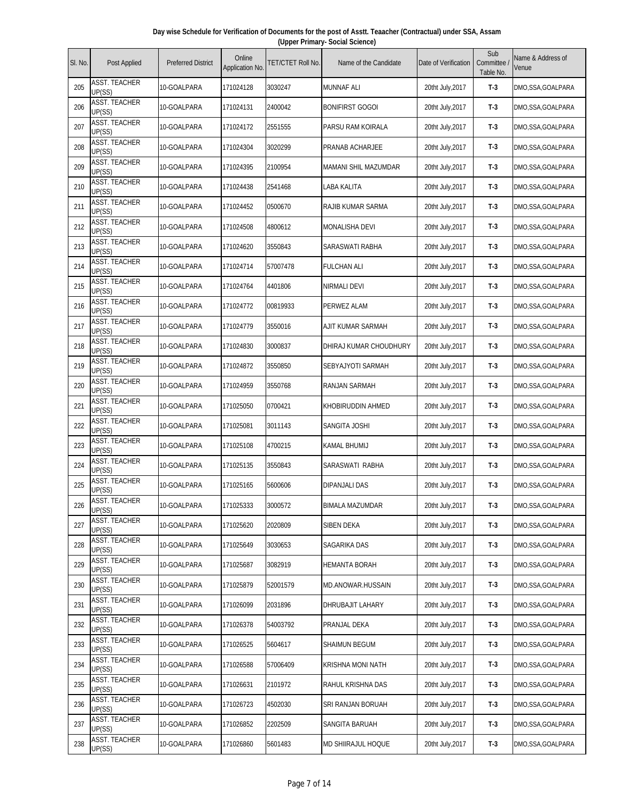| Day wise Schedule for Verification of Documents for the post of Asstt. Teaacher (Contractual) under SSA, Assam |  |
|----------------------------------------------------------------------------------------------------------------|--|
| (Upper Primary- Social Science)                                                                                |  |

| SI. No. | Post Applied                   | <b>Preferred District</b> | Online<br>Application No. | <b>TET/CTET Roll No.</b> | Name of the Candidate   | Date of Verification | Sub<br>Committee<br>Table No. | Name & Address of<br>Venue |
|---------|--------------------------------|---------------------------|---------------------------|--------------------------|-------------------------|----------------------|-------------------------------|----------------------------|
| 205     | <b>ASST. TEACHER</b><br>UP(SS) | 10-GOALPARA               | 171024128                 | 3030247                  | <b>MUNNAF ALI</b>       | 20tht July, 2017     | $T-3$                         | DMO,SSA,GOALPARA           |
| 206     | <b>ASST. TEACHER</b><br>UP(SS) | 10-GOALPARA               | 171024131                 | 2400042                  | <b>BONIFIRST GOGOI</b>  | 20tht July, 2017     | $T-3$                         | DMO,SSA,GOALPARA           |
| 207     | <b>ASST. TEACHER</b><br>UP(SS) | 10-GOALPARA               | 171024172                 | 2551555                  | PARSU RAM KOIRALA       | 20tht July, 2017     | $T-3$                         | DMO,SSA,GOALPARA           |
| 208     | <b>ASST. TEACHER</b><br>UP(SS) | 10-GOALPARA               | 171024304                 | 3020299                  | PRANAB ACHARJEE         | 20tht July, 2017     | $T-3$                         | DMO, SSA, GOALPARA         |
| 209     | <b>ASST. TEACHER</b><br>UP(SS) | 10-GOALPARA               | 171024395                 | 2100954                  | MAMANI SHIL MAZUMDAR    | 20tht July, 2017     | $T-3$                         | DMO, SSA, GOALPARA         |
| 210     | <b>ASST. TEACHER</b><br>UP(SS) | 10-GOALPARA               | 171024438                 | 2541468                  | LABA KALITA             | 20tht July, 2017     | $T-3$                         | DMO,SSA,GOALPARA           |
| 211     | <b>ASST. TEACHER</b><br>UP(SS) | 10-GOALPARA               | 171024452                 | 0500670                  | RAJIB KUMAR SARMA       | 20tht July, 2017     | $T-3$                         | DMO,SSA,GOALPARA           |
| 212     | <b>ASST. TEACHER</b><br>UP(SS) | 10-GOALPARA               | 171024508                 | 4800612                  | <b>MONALISHA DEVI</b>   | 20tht July, 2017     | $T-3$                         | DMO,SSA,GOALPARA           |
| 213     | <b>ASST. TEACHER</b><br>UP(SS) | 10-GOALPARA               | 171024620                 | 3550843                  | <b>SARASWATI RABHA</b>  | 20tht July, 2017     | $T-3$                         | DMO,SSA,GOALPARA           |
| 214     | <b>ASST. TEACHER</b><br>UP(SS) | 10-GOALPARA               | 171024714                 | 57007478                 | <b>FULCHAN ALI</b>      | 20tht July, 2017     | $T-3$                         | DMO,SSA,GOALPARA           |
| 215     | <b>ASST. TEACHER</b><br>UP(SS) | 10-GOALPARA               | 171024764                 | 4401806                  | NIRMALI DEVI            | 20tht July, 2017     | $T-3$                         | DMO,SSA,GOALPARA           |
| 216     | <b>ASST. TEACHER</b><br>UP(SS) | 10-GOALPARA               | 171024772                 | 00819933                 | PERWEZ ALAM             | 20tht July, 2017     | $T-3$                         | DMO,SSA,GOALPARA           |
| 217     | <b>ASST. TEACHER</b><br>UP(SS) | 10-GOALPARA               | 171024779                 | 3550016                  | AJIT KUMAR SARMAH       | 20tht July, 2017     | $T-3$                         | DMO, SSA, GOALPARA         |
| 218     | <b>ASST. TEACHER</b><br>UP(SS) | 10-GOALPARA               | 171024830                 | 3000837                  | DHIRAJ KUMAR CHOUDHURY  | 20tht July, 2017     | T-3                           | DMO,SSA,GOALPARA           |
| 219     | <b>ASST. TEACHER</b><br>UP(SS) | 10-GOALPARA               | 171024872                 | 3550850                  | SEBYAJYOTI SARMAH       | 20tht July, 2017     | $T-3$                         | DMO,SSA,GOALPARA           |
| 220     | <b>ASST. TEACHER</b><br>UP(SS) | 10-GOALPARA               | 171024959                 | 3550768                  | <b>RANJAN SARMAH</b>    | 20tht July, 2017     | $T-3$                         | DMO, SSA, GOALPARA         |
| 221     | <b>ASST. TEACHER</b><br>UP(SS) | 10-GOALPARA               | 171025050                 | 0700421                  | KHOBIRUDDIN AHMED       | 20tht July, 2017     | $T-3$                         | DMO,SSA,GOALPARA           |
| 222     | <b>ASST. TEACHER</b><br>UP(SS) | 10-GOALPARA               | 171025081                 | 3011143                  | SANGITA JOSHI           | 20tht July, 2017     | $T-3$                         | DMO,SSA,GOALPARA           |
| 223     | <b>ASST. TEACHER</b><br>UP(SS) | 10-GOALPARA               | 171025108                 | 4700215                  | KAMAL BHUMIJ            | 20tht July, 2017     | $T-3$                         | DMO, SSA, GOALPARA         |
| 224     | <b>ASST. TEACHER</b><br>UP(SS) | 10-GOALPARA               | 171025135                 | 3550843                  | SARASWATI RABHA         | 20tht July, 2017     | $T-3$                         | DMO,SSA,GOALPARA           |
| 225     | <b>ASST. TEACHER</b><br>UP(SS) | 10-GOALPARA               | 171025165                 | 5600606                  | DIPANJALI DAS           | 20tht July, 2017     | $T-3$                         | DMO,SSA,GOALPARA           |
| 226     | <b>ASST. TEACHER</b><br>UP(SS) | 10-GOALPARA               | 171025333                 | 3000572                  | <b>BIMALA MAZUMDAR</b>  | 20tht July, 2017     | T-3                           | DMO, SSA, GOALPARA         |
| 227     | ASST. TEACHER<br>UP(SS)        | 10-GOALPARA               | 171025620                 | 2020809                  | SIBEN DEKA              | 20tht July, 2017     | $T-3$                         | DMO,SSA,GOALPARA           |
| 228     | <b>ASST. TEACHER</b><br>UP(SS) | 10-GOALPARA               | 171025649                 | 3030653                  | SAGARIKA DAS            | 20tht July, 2017     | $T-3$                         | DMO,SSA,GOALPARA           |
| 229     | <b>ASST. TEACHER</b><br>UP(SS) | 10-GOALPARA               | 171025687                 | 3082919                  | HEMANTA BORAH           | 20tht July, 2017     | $T-3$                         | DMO,SSA,GOALPARA           |
| 230     | <b>ASST. TEACHER</b><br>UP(SS) | 10-GOALPARA               | 171025879                 | 52001579                 | MD.ANOWAR.HUSSAIN       | 20tht July, 2017     | $T-3$                         | DMO, SSA, GOALPARA         |
| 231     | <b>ASST. TEACHER</b><br>UP(SS) | 10-GOALPARA               | 171026099                 | 2031896                  | <b>DHRUBAJIT LAHARY</b> | 20tht July, 2017     | $T-3$                         | DMO,SSA,GOALPARA           |
| 232     | <b>ASST. TEACHER</b><br>UP(SS) | 10-GOALPARA               | 171026378                 | 54003792                 | PRANJAL DEKA            | 20tht July, 2017     | T-3                           | DMO,SSA,GOALPARA           |
| 233     | <b>ASST. TEACHER</b><br>UP(SS) | 10-GOALPARA               | 171026525                 | 5604617                  | SHAIMUN BEGUM           | 20tht July, 2017     | $T-3$                         | DMO,SSA,GOALPARA           |
| 234     | <b>ASST. TEACHER</b><br>UP(SS) | 10-GOALPARA               | 171026588                 | 57006409                 | KRISHNA MONI NATH       | 20tht July, 2017     | $T-3$                         | DMO,SSA,GOALPARA           |
| 235     | ASST. TEACHER<br>UP(SS)        | 10-GOALPARA               | 171026631                 | 2101972                  | RAHUL KRISHNA DAS       | 20tht July, 2017     | $T-3$                         | DMO,SSA,GOALPARA           |
| 236     | <b>ASST. TEACHER</b><br>UP(SS) | 10-GOALPARA               | 171026723                 | 4502030                  | SRI RANJAN BORUAH       | 20tht July, 2017     | $T-3$                         | DMO,SSA,GOALPARA           |
| 237     | <b>ASST. TEACHER</b><br>UP(SS) | 10-GOALPARA               | 171026852                 | 2202509                  | SANGITA BARUAH          | 20tht July, 2017     | $T-3$                         | DMO,SSA,GOALPARA           |
| 238     | ASST. TEACHER<br>UP(SS)        | 10-GOALPARA               | 171026860                 | 5601483                  | MD SHIIRAJUL HOQUE      | 20tht July, 2017     | $T-3$                         | DMO,SSA,GOALPARA           |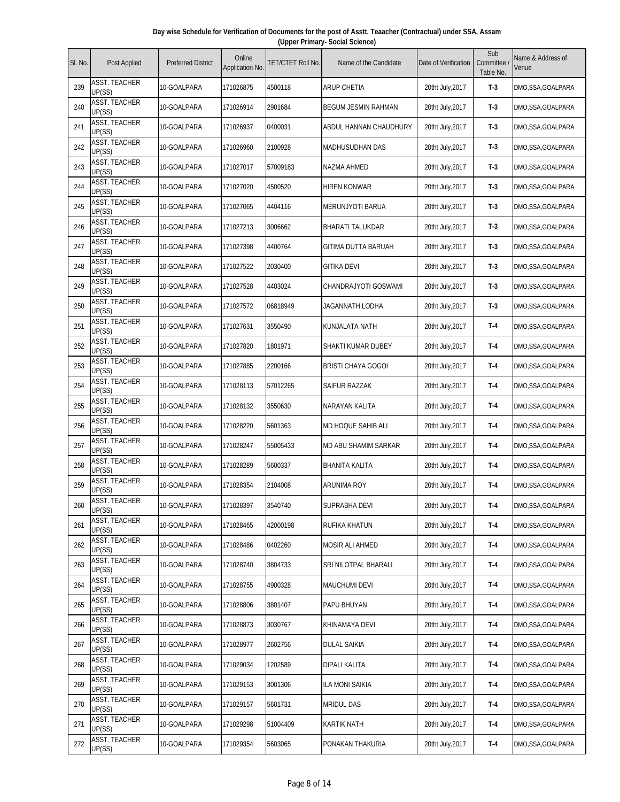| Day wise Schedule for Verification of Documents for the post of Asstt. Teaacher (Contractual) under SSA, Assam |                                 |  |  |  |  |  |  |  |  |  |
|----------------------------------------------------------------------------------------------------------------|---------------------------------|--|--|--|--|--|--|--|--|--|
|                                                                                                                | (Upper Primary- Social Science) |  |  |  |  |  |  |  |  |  |
|                                                                                                                |                                 |  |  |  |  |  |  |  |  |  |

| SI. No. | Post Applied                   | <b>Preferred District</b> | Online<br>Application No. | TET/CTET Roll No. | Name of the Candidate      | Date of Verification | Sub<br>Committee<br>Table No. | Name & Address of<br>Venue |
|---------|--------------------------------|---------------------------|---------------------------|-------------------|----------------------------|----------------------|-------------------------------|----------------------------|
| 239     | ASST. TEACHER<br>UP(SS)        | 10-GOALPARA               | 171026875                 | 4500118           | <b>ARUP CHETIA</b>         | 20tht July, 2017     | $T-3$                         | DMO, SSA, GOALPARA         |
| 240     | <b>ASST. TEACHER</b><br>UP(SS) | 10-GOALPARA               | 171026914                 | 2901684           | <b>BEGUM JESMIN RAHMAN</b> | 20tht July, 2017     | $T-3$                         | DMO, SSA, GOALPARA         |
| 241     | <b>ASST. TEACHER</b><br>UP(SS) | 10-GOALPARA               | 171026937                 | 0400031           | ABDUL HANNAN CHAUDHURY     | 20tht July, 2017     | $T-3$                         | DMO, SSA, GOALPARA         |
| 242     | <b>ASST. TEACHER</b><br>UP(SS) | 10-GOALPARA               | 171026960                 | 2100928           | MADHUSUDHAN DAS            | 20tht July, 2017     | $T-3$                         | DMO, SSA, GOALPARA         |
| 243     | <b>ASST. TEACHER</b><br>UP(SS) | 10-GOALPARA               | 171027017                 | 57009183          | NAZMA AHMED                | 20tht July, 2017     | $T-3$                         | DMO, SSA, GOALPARA         |
| 244     | <b>ASST. TEACHER</b><br>UP(SS) | 10-GOALPARA               | 171027020                 | 4500520           | <b>HIREN KONWAR</b>        | 20tht July, 2017     | $T-3$                         | DMO, SSA, GOALPARA         |
| 245     | <b>ASST. TEACHER</b><br>UP(SS) | 10-GOALPARA               | 171027065                 | 4404116           | MERUNJYOTI BARUA           | 20tht July, 2017     | $T-3$                         | DMO, SSA, GOALPARA         |
| 246     | <b>ASST. TEACHER</b><br>UP(SS) | 10-GOALPARA               | 171027213                 | 3006662           | BHARATI TALUKDAR           | 20tht July, 2017     | $T-3$                         | DMO, SSA, GOALPARA         |
| 247     | <b>ASST. TEACHER</b><br>UP(SS) | 10-GOALPARA               | 171027398                 | 4400764           | <b>GITIMA DUTTA BARUAH</b> | 20tht July, 2017     | $T-3$                         | DMO, SSA, GOALPARA         |
| 248     | <b>ASST. TEACHER</b><br>UP(SS) | 10-GOALPARA               | 171027522                 | 2030400           | <b>GITIKA DEVI</b>         | 20tht July, 2017     | $T-3$                         | DMO, SSA, GOALPARA         |
| 249     | <b>ASST. TEACHER</b><br>UP(SS) | 10-GOALPARA               | 171027528                 | 4403024           | CHANDRAJYOTI GOSWAMI       | 20tht July, 2017     | $T-3$                         | DMO, SSA, GOALPARA         |
| 250     | <b>ASST. TEACHER</b><br>UP(SS) | 10-GOALPARA               | 171027572                 | 06818949          | JAGANNATH LODHA            | 20tht July, 2017     | $T-3$                         | DMO, SSA, GOALPARA         |
| 251     | <b>ASST. TEACHER</b><br>UP(SS) | 10-GOALPARA               | 171027631                 | 3550490           | KUNJALATA NATH             | 20tht July, 2017     | T-4                           | DMO, SSA, GOALPARA         |
| 252     | ASST. TEACHER<br>UP(SS)        | 10-GOALPARA               | 171027820                 | 1801971           | SHAKTI KUMAR DUBEY         | 20tht July, 2017     | T-4                           | DMO, SSA, GOALPARA         |
| 253     | <b>ASST. TEACHER</b><br>UP(SS) | 10-GOALPARA               | 171027885                 | 2200166           | <b>BRISTI CHAYA GOGOI</b>  | 20tht July, 2017     | T-4                           | DMO, SSA, GOALPARA         |
| 254     | <b>ASST. TEACHER</b><br>UP(SS) | 10-GOALPARA               | 171028113                 | 57012265          | SAIFUR RAZZAK              | 20tht July, 2017     | $T-4$                         | DMO, SSA, GOALPARA         |
| 255     | <b>ASST. TEACHER</b><br>UP(SS) | 10-GOALPARA               | 171028132                 | 3550630           | NARAYAN KALITA             | 20tht July, 2017     | $T-4$                         | DMO, SSA, GOALPARA         |
| 256     | <b>ASST. TEACHER</b><br>UP(SS) | 10-GOALPARA               | 171028220                 | 5601363           | MD HOQUE SAHIB ALI         | 20tht July, 2017     | T-4                           | DMO, SSA, GOALPARA         |
| 257     | <b>ASST. TEACHER</b><br>UP(SS) | 10-GOALPARA               | 171028247                 | 55005433          | MD ABU SHAMIM SARKAR       | 20tht July, 2017     | $T-4$                         | DMO, SSA, GOALPARA         |
| 258     | <b>ASST. TEACHER</b><br>UP(SS) | 10-GOALPARA               | 171028289                 | 5600337           | <b>BHANITA KALITA</b>      | 20tht July, 2017     | T-4                           | DMO, SSA, GOALPARA         |
| 259     | <b>ASST. TEACHER</b><br>UP(SS) | 10-GOALPARA               | 171028354                 | 2104008           | ARUNIMA ROY                | 20tht July, 2017     | T-4                           | DMO, SSA, GOALPARA         |
| 260     | <b>ASST. TEACHER</b><br>UP(SS) | 10-GOALPARA               | 171028397                 | 3540740           | SUPRABHA DEVI              | 20tht July, 2017     | T-4                           | DMO, SSA, GOALPARA         |
| 261     | ASST. TEACHER<br>UP(SS)        | 10-GOALPARA               | 171028465                 | 42000198          | RUFIKA KHATUN              | 20tht July, 2017     | $T-4$                         | DMO, SSA, GOALPARA         |
| 262     | ASST. TEACHER<br>UP(SS)        | 10-GOALPARA               | 171028486                 | 0402260           | MOSIR ALI AHMED            | 20tht July, 2017     | $T-4$                         | DMO, SSA, GOALPARA         |
| 263     | <b>ASST. TEACHER</b><br>UP(SS) | 10-GOALPARA               | 171028740                 | 3804733           | SRI NILOTPAL BHARALI       | 20tht July, 2017     | T-4                           | DMO, SSA, GOALPARA         |
| 264     | ASST. TEACHER<br>UP(SS)        | 10-GOALPARA               | 171028755                 | 4900328           | <b>MAUCHUMI DEVI</b>       | 20tht July, 2017     | T-4                           | DMO, SSA, GOALPARA         |
| 265     | ASST. TEACHER<br>UP(SS)        | 10-GOALPARA               | 171028806                 | 3801407           | PAPU BHUYAN                | 20tht July, 2017     | $T-4$                         | DMO, SSA, GOALPARA         |
| 266     | ASST. TEACHER<br>UP(SS)        | 10-GOALPARA               | 171028873                 | 3030767           | KHINAMAYA DEVI             | 20tht July, 2017     | T-4                           | DMO, SSA, GOALPARA         |
| 267     | <b>ASST. TEACHER</b><br>UP(SS) | 10-GOALPARA               | 171028977                 | 2602756           | DULAL SAIKIA               | 20tht July, 2017     | T-4                           | DMO,SSA,GOALPARA           |
| 268     | <b>ASST. TEACHER</b><br>UP(SS) | 10-GOALPARA               | 171029034                 | 1202589           | DIPALI KALITA              | 20tht July, 2017     | T-4                           | DMO,SSA,GOALPARA           |
| 269     | <b>ASST. TEACHER</b><br>UP(SS) | 10-GOALPARA               | 171029153                 | 3001306           | <b>ILA MONI SAIKIA</b>     | 20tht July, 2017     | $T-4$                         | DMO, SSA, GOALPARA         |
| 270     | ASST. TEACHER<br>UP(SS)        | 10-GOALPARA               | 171029157                 | 5601731           | <b>MRIDUL DAS</b>          | 20tht July, 2017     | $T-4$                         | DMO,SSA,GOALPARA           |
| 271     | <b>ASST. TEACHER</b><br>UP(SS) | 10-GOALPARA               | 171029298                 | 51004409          | KARTIK NATH                | 20tht July, 2017     | T-4                           | DMO,SSA,GOALPARA           |
| 272     | <b>ASST. TEACHER</b><br>UP(SS) | 10-GOALPARA               | 171029354                 | 5603065           | PONAKAN THAKURIA           | 20tht July, 2017     | $T-4$                         | DMO, SSA, GOALPARA         |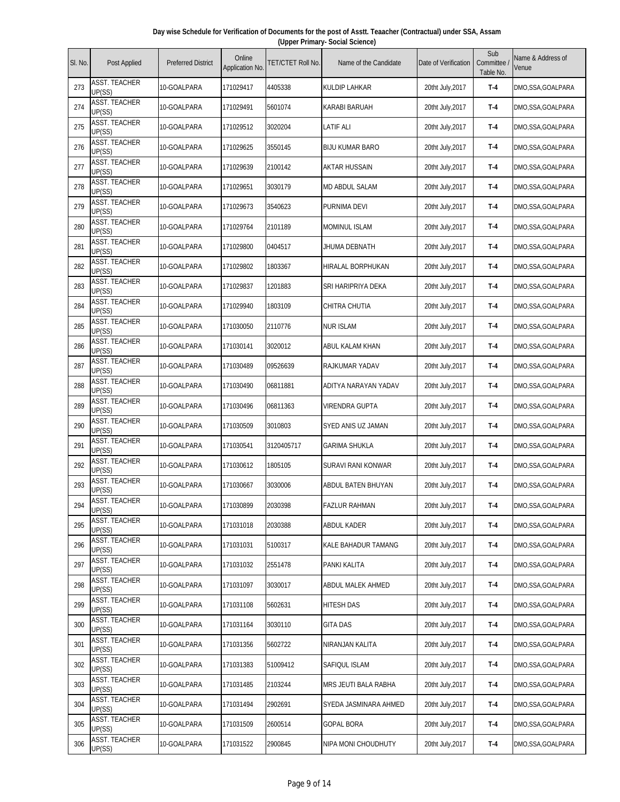| Day wise Schedule for Verification of Documents for the post of Asstt. Teaacher (Contractual) under SSA, Assam |  |
|----------------------------------------------------------------------------------------------------------------|--|
| (Upper Primary- Social Science)                                                                                |  |

| SI. No. | Post Applied                   | <b>Preferred District</b> | Online<br>Application No. | TET/CTET Roll No. | Name of the Candidate  | Date of Verification | Sub<br>Committee<br>Table No. | Name & Address of<br>Venue |
|---------|--------------------------------|---------------------------|---------------------------|-------------------|------------------------|----------------------|-------------------------------|----------------------------|
| 273     | ASST. TEACHER<br>UP(SS)        | 10-GOALPARA               | 171029417                 | 4405338           | <b>KULDIP LAHKAR</b>   | 20tht July, 2017     | T-4                           | DMO,SSA,GOALPARA           |
| 274     | <b>ASST. TEACHER</b><br>UP(SS) | 10-GOALPARA               | 171029491                 | 5601074           | KARABI BARUAH          | 20tht July, 2017     | T-4                           | DMO,SSA,GOALPARA           |
| 275     | <b>ASST. TEACHER</b><br>UP(SS) | 10-GOALPARA               | 171029512                 | 3020204           | LATIF ALI              | 20tht July, 2017     | T-4                           | DMO,SSA,GOALPARA           |
| 276     | <b>ASST. TEACHER</b><br>UP(SS) | 10-GOALPARA               | 171029625                 | 3550145           | <b>BIJU KUMAR BARO</b> | 20tht July, 2017     | T-4                           | DMO, SSA, GOALPARA         |
| 277     | <b>ASST. TEACHER</b><br>UP(SS) | 10-GOALPARA               | 171029639                 | 2100142           | <b>AKTAR HUSSAIN</b>   | 20tht July, 2017     | T-4                           | DMO,SSA,GOALPARA           |
| 278     | <b>ASST. TEACHER</b><br>UP(SS) | 10-GOALPARA               | 171029651                 | 3030179           | MD ABDUL SALAM         | 20tht July, 2017     | T-4                           | DMO,SSA,GOALPARA           |
| 279     | <b>ASST. TEACHER</b><br>UP(SS) | 10-GOALPARA               | 171029673                 | 3540623           | PURNIMA DEVI           | 20tht July, 2017     | T-4                           | DMO,SSA,GOALPARA           |
| 280     | <b>ASST. TEACHER</b><br>UP(SS) | 10-GOALPARA               | 171029764                 | 2101189           | <b>MOMINUL ISLAM</b>   | 20tht July, 2017     | T-4                           | DMO,SSA,GOALPARA           |
| 281     | ASST. TEACHER<br>UP(SS)        | 10-GOALPARA               | 171029800                 | 0404517           | JHUMA DEBNATH          | 20tht July, 2017     | T-4                           | DMO,SSA,GOALPARA           |
| 282     | <b>ASST. TEACHER</b><br>UP(SS) | 10-GOALPARA               | 171029802                 | 1803367           | HIRALAL BORPHUKAN      | 20tht July, 2017     | $T-4$                         | DMO,SSA,GOALPARA           |
| 283     | <b>ASST. TEACHER</b><br>UP(SS) | 10-GOALPARA               | 171029837                 | 1201883           | SRI HARIPRIYA DEKA     | 20tht July, 2017     | T-4                           | DMO,SSA,GOALPARA           |
| 284     | <b>ASST. TEACHER</b><br>UP(SS) | 10-GOALPARA               | 171029940                 | 1803109           | <b>CHITRA CHUTIA</b>   | 20tht July, 2017     | $T-4$                         | DMO,SSA,GOALPARA           |
| 285     | <b>ASST. TEACHER</b><br>UP(SS) | 10-GOALPARA               | 171030050                 | 2110776           | <b>NUR ISLAM</b>       | 20tht July, 2017     | T-4                           | DMO,SSA,GOALPARA           |
| 286     | <b>ASST. TEACHER</b><br>UP(SS) | 10-GOALPARA               | 171030141                 | 3020012           | ABUL KALAM KHAN        | 20tht July, 2017     | T-4                           | DMO,SSA,GOALPARA           |
| 287     | ASST. TEACHER<br>UP(SS)        | 10-GOALPARA               | 171030489                 | 09526639          | RAJKUMAR YADAV         | 20tht July, 2017     | T-4                           | DMO,SSA,GOALPARA           |
| 288     | <b>ASST. TEACHER</b><br>UP(SS) | 10-GOALPARA               | 171030490                 | 06811881          | ADITYA NARAYAN YADAV   | 20tht July, 2017     | T-4                           | DMO,SSA,GOALPARA           |
| 289     | ASST. TEACHER<br>UP(SS)        | 10-GOALPARA               | 171030496                 | 06811363          | VIRENDRA GUPTA         | 20tht July, 2017     | $T-4$                         | DMO,SSA,GOALPARA           |
| 290     | <b>ASST. TEACHER</b><br>UP(SS) | 10-GOALPARA               | 171030509                 | 3010803           | SYED ANIS UZ JAMAN     | 20tht July, 2017     | T-4                           | DMO,SSA,GOALPARA           |
| 291     | <b>ASST. TEACHER</b><br>UP(SS) | 10-GOALPARA               | 171030541                 | 3120405717        | <b>GARIMA SHUKLA</b>   | 20tht July, 2017     | T-4                           | DMO,SSA,GOALPARA           |
| 292     | <b>ASST. TEACHER</b><br>UP(SS) | 10-GOALPARA               | 171030612                 | 1805105           | SURAVI RANI KONWAR     | 20tht July, 2017     | T-4                           | DMO,SSA,GOALPARA           |
| 293     | <b>ASST. TEACHER</b><br>UP(SS) | 10-GOALPARA               | 171030667                 | 3030006           | ABDUL BATEN BHUYAN     | 20tht July, 2017     | T-4                           | DMO,SSA,GOALPARA           |
| 294     | <b>ASST. TEACHER</b><br>UP(SS) | 10-GOALPARA               | 171030899                 | 2030398           | <b>FAZLUR RAHMAN</b>   | 20tht July, 2017     | T-4                           | DMO,SSA,GOALPARA           |
| 295     | ASST. TEACHER<br>UP(SS)        | 10-GOALPARA               | 171031018                 | 2030388           | <b>ABDUL KADER</b>     | 20tht July, 2017     | T-4                           | DMO,SSA,GOALPARA           |
| 296     | <b>ASST. TEACHER</b><br>UP(SS) | 10-GOALPARA               | 171031031                 | 5100317           | KALE BAHADUR TAMANG    | 20tht July, 2017     | $T-4$                         | DMO,SSA,GOALPARA           |
| 297     | <b>ASST. TEACHER</b><br>UP(SS) | 10-GOALPARA               | 171031032                 | 2551478           | PANKI KALITA           | 20tht July, 2017     | T-4                           | DMO,SSA,GOALPARA           |
| 298     | <b>ASST. TEACHER</b><br>UP(SS) | 10-GOALPARA               | 171031097                 | 3030017           | ABDUL MALEK AHMED      | 20tht July, 2017     | $T-4$                         | DMO,SSA,GOALPARA           |
| 299     | <b>ASST. TEACHER</b><br>UP(SS) | 10-GOALPARA               | 171031108                 | 5602631           | <b>HITESH DAS</b>      | 20tht July, 2017     | $T-4$                         | DMO,SSA,GOALPARA           |
| 300     | ASST. TEACHER<br>UP(SS)        | 10-GOALPARA               | 171031164                 | 3030110           | <b>GITA DAS</b>        | 20tht July, 2017     | T-4                           | DMO,SSA,GOALPARA           |
| 301     | <b>ASST. TEACHER</b><br>UP(SS) | 10-GOALPARA               | 171031356                 | 5602722           | NIRANJAN KALITA        | 20tht July, 2017     | $T-4$                         | DMO,SSA,GOALPARA           |
| 302     | <b>ASST. TEACHER</b><br>UP(SS) | 10-GOALPARA               | 171031383                 | 51009412          | SAFIQUL ISLAM          | 20tht July, 2017     | $T-4$                         | DMO,SSA,GOALPARA           |
| 303     | ASST. TEACHER<br>UP(SS)        | 10-GOALPARA               | 171031485                 | 2103244           | MRS JEUTI BALA RABHA   | 20tht July, 2017     | $T-4$                         | DMO,SSA,GOALPARA           |
| 304     | <b>ASST. TEACHER</b><br>UP(SS) | 10-GOALPARA               | 171031494                 | 2902691           | SYEDA JASMINARA AHMED  | 20tht July, 2017     | T-4                           | DMO,SSA,GOALPARA           |
| 305     | ASST. TEACHER<br>UP(SS)        | 10-GOALPARA               | 171031509                 | 2600514           | <b>GOPAL BORA</b>      | 20tht July, 2017     | $T-4$                         | DMO,SSA,GOALPARA           |
| 306     | ASST. TEACHER<br>UP(SS)        | 10-GOALPARA               | 171031522                 | 2900845           | NIPA MONI CHOUDHUTY    | 20tht July, 2017     | $T-4$                         | DMO,SSA,GOALPARA           |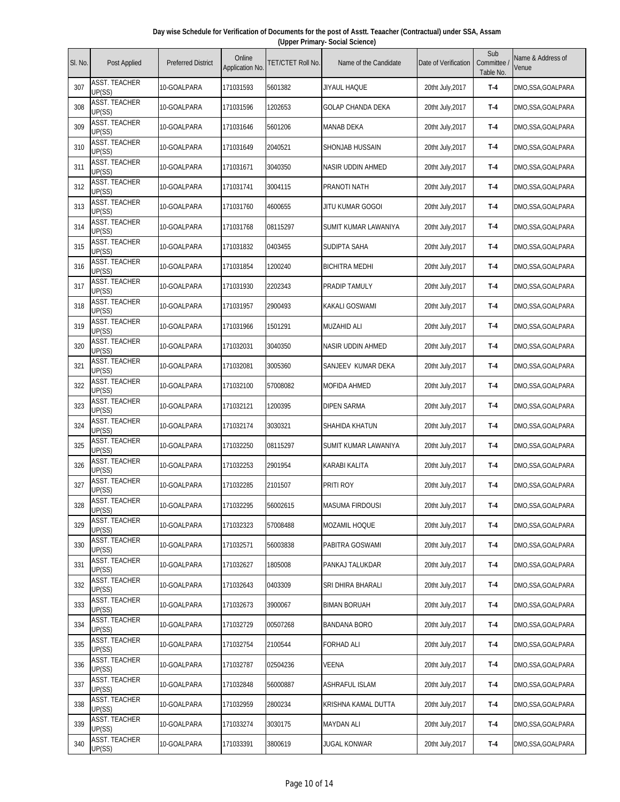| Day wise Schedule for Verification of Documents for the post of Asstt. Teaacher (Contractual) under SSA, Assam |  |
|----------------------------------------------------------------------------------------------------------------|--|
| (Upper Primary- Social Science)                                                                                |  |

| SI. No. | Post Applied                   | <b>Preferred District</b> | Online<br>Application No. | TET/CTET Roll No. | Name of the Candidate    | Date of Verification | Sub<br>Committee<br>Table No. | Name & Address of<br>Venue |
|---------|--------------------------------|---------------------------|---------------------------|-------------------|--------------------------|----------------------|-------------------------------|----------------------------|
| 307     | <b>ASST. TEACHER</b><br>UP(SS) | 10-GOALPARA               | 171031593                 | 5601382           | JIYAUL HAQUE             | 20tht July, 2017     | T-4                           | DMO,SSA,GOALPARA           |
| 308     | <b>ASST. TEACHER</b><br>UP(SS) | 10-GOALPARA               | 171031596                 | 1202653           | <b>GOLAP CHANDA DEKA</b> | 20tht July, 2017     | T-4                           | DMO, SSA, GOALPARA         |
| 309     | <b>ASST. TEACHER</b><br>UP(SS) | 10-GOALPARA               | 171031646                 | 5601206           | MANAB DEKA               | 20tht July, 2017     | T-4                           | DMO,SSA,GOALPARA           |
| 310     | <b>ASST. TEACHER</b><br>UP(SS) | 10-GOALPARA               | 171031649                 | 2040521           | SHONJAB HUSSAIN          | 20tht July, 2017     | T-4                           | DMO,SSA,GOALPARA           |
| 311     | <b>ASST. TEACHER</b><br>UP(SS) | 10-GOALPARA               | 171031671                 | 3040350           | NASIR UDDIN AHMED        | 20tht July, 2017     | $T-4$                         | DMO, SSA, GOALPARA         |
| 312     | <b>ASST. TEACHER</b><br>UP(SS) | 10-GOALPARA               | 171031741                 | 3004115           | PRANOTI NATH             | 20tht July, 2017     | T-4                           | DMO, SSA, GOALPARA         |
| 313     | <b>ASST. TEACHER</b><br>UP(SS) | 10-GOALPARA               | 171031760                 | 4600655           | JITU KUMAR GOGOI         | 20tht July, 2017     | T-4                           | DMO,SSA,GOALPARA           |
| 314     | <b>ASST. TEACHER</b><br>UP(SS) | 10-GOALPARA               | 171031768                 | 08115297          | SUMIT KUMAR LAWANIYA     | 20tht July, 2017     | T-4                           | DMO,SSA,GOALPARA           |
| 315     | <b>ASST. TEACHER</b><br>UP(SS) | 10-GOALPARA               | 171031832                 | 0403455           | SUDIPTA SAHA             | 20tht July, 2017     | T-4                           | DMO, SSA, GOALPARA         |
| 316     | ASST. TEACHER<br>UP(SS)        | 10-GOALPARA               | 171031854                 | 1200240           | <b>BICHITRA MEDHI</b>    | 20tht July, 2017     | T-4                           | DMO, SSA, GOALPARA         |
| 317     | <b>ASST. TEACHER</b><br>UP(SS) | 10-GOALPARA               | 171031930                 | 2202343           | PRADIP TAMULY            | 20tht July, 2017     | T-4                           | DMO,SSA,GOALPARA           |
| 318     | <b>ASST. TEACHER</b><br>UP(SS) | 10-GOALPARA               | 171031957                 | 2900493           | KAKALI GOSWAMI           | 20tht July, 2017     | T-4                           | DMO,SSA,GOALPARA           |
| 319     | <b>ASST. TEACHER</b><br>UP(SS) | 10-GOALPARA               | 171031966                 | 1501291           | <b>MUZAHID ALI</b>       | 20tht July, 2017     | T-4                           | DMO, SSA, GOALPARA         |
| 320     | <b>ASST. TEACHER</b><br>UP(SS) | 10-GOALPARA               | 171032031                 | 3040350           | NASIR UDDIN AHMED        | 20tht July, 2017     | T-4                           | DMO, SSA, GOALPARA         |
| 321     | <b>ASST. TEACHER</b><br>UP(SS) | 10-GOALPARA               | 171032081                 | 3005360           | SANJEEV KUMAR DEKA       | 20tht July, 2017     | T-4                           | DMO, SSA, GOALPARA         |
| 322     | <b>ASST. TEACHER</b><br>UP(SS) | 10-GOALPARA               | 171032100                 | 57008082          | MOFIDA AHMED             | 20tht July, 2017     | $T-4$                         | DMO, SSA, GOALPARA         |
| 323     | <b>ASST. TEACHER</b><br>UP(SS) | 10-GOALPARA               | 171032121                 | 1200395           | DIPEN SARMA              | 20tht July, 2017     | T-4                           | DMO,SSA,GOALPARA           |
| 324     | <b>ASST. TEACHER</b><br>UP(SS) | 10-GOALPARA               | 171032174                 | 3030321           | SHAHIDA KHATUN           | 20tht July, 2017     | T-4                           | DMO,SSA,GOALPARA           |
| 325     | <b>ASST. TEACHER</b><br>UP(SS) | 10-GOALPARA               | 171032250                 | 08115297          | SUMIT KUMAR LAWANIYA     | 20tht July, 2017     | T-4                           | DMO, SSA, GOALPARA         |
| 326     | <b>ASST. TEACHER</b><br>UP(SS) | 10-GOALPARA               | 171032253                 | 2901954           | KARABI KALITA            | 20tht July, 2017     | T-4                           | DMO, SSA, GOALPARA         |
| 327     | ASST. TEACHER<br>UP(SS)        | 10-GOALPARA               | 171032285                 | 2101507           | PRITI ROY                | 20tht July, 2017     | T-4                           | DMO,SSA,GOALPARA           |
| 328     | <b>ASST. TEACHER</b><br>UP(SS) | 10-GOALPARA               | 171032295                 | 56002615          | <b>MASUMA FIRDOUSI</b>   | 20tht July, 2017     | $T-4$                         | DMO, SSA, GOALPARA         |
| 329     | ASST. TEACHER<br>UP(SS)        | 10-GOALPARA               | 171032323                 | 57008488          | MOZAMIL HOQUE            | 20tht July, 2017     | $T-4$                         | DMO, SSA, GOALPARA         |
| 330     | ASST. TEACHER<br>UP(SS)        | 10-GOALPARA               | 171032571                 | 56003838          | PABITRA GOSWAMI          | 20tht July, 2017     | T-4                           | DMO,SSA,GOALPARA           |
| 331     | <b>ASST. TEACHER</b><br>UP(SS) | 10-GOALPARA               | 171032627                 | 1805008           | PANKAJ TALUKDAR          | 20tht July, 2017     | T-4                           | DMO, SSA, GOALPARA         |
| 332     | ASST. TEACHER<br>UP(SS)        | 10-GOALPARA               | 171032643                 | 0403309           | SRI DHIRA BHARALI        | 20tht July, 2017     | $T-4$                         | DMO,SSA,GOALPARA           |
| 333     | ASST. TEACHER<br>UP(SS)        | 10-GOALPARA               | 171032673                 | 3900067           | <b>BIMAN BORUAH</b>      | 20tht July, 2017     | T-4                           | DMO, SSA, GOALPARA         |
| 334     | ASST. TEACHER<br>UP(SS)        | 10-GOALPARA               | 171032729                 | 00507268          | <b>BANDANA BORO</b>      | 20tht July, 2017     | T-4                           | DMO,SSA,GOALPARA           |
| 335     | <b>ASST. TEACHER</b><br>UP(SS) | 10-GOALPARA               | 171032754                 | 2100544           | FORHAD ALI               | 20tht July, 2017     | $T-4$                         | DMO,SSA,GOALPARA           |
| 336     | ASST. TEACHER<br>UP(SS)        | 10-GOALPARA               | 171032787                 | 02504236          | VEENA                    | 20tht July, 2017     | T-4                           | DMO, SSA, GOALPARA         |
| 337     | <b>ASST. TEACHER</b><br>UP(SS) | 10-GOALPARA               | 171032848                 | 56000887          | ASHRAFUL ISLAM           | 20tht July, 2017     | $T-4$                         | DMO, SSA, GOALPARA         |
| 338     | <b>ASST. TEACHER</b><br>UP(SS) | 10-GOALPARA               | 171032959                 | 2800234           | KRISHNA KAMAL DUTTA      | 20tht July, 2017     | T-4                           | DMO,SSA,GOALPARA           |
| 339     | ASST. TEACHER<br>UP(SS)        | 10-GOALPARA               | 171033274                 | 3030175           | <b>MAYDAN ALI</b>        | 20tht July, 2017     | T-4                           | DMO,SSA,GOALPARA           |
| 340     | ASST. TEACHER<br>UP(SS)        | 10-GOALPARA               | 171033391                 | 3800619           | JUGAL KONWAR             | 20tht July, 2017     | $T-4$                         | DMO, SSA, GOALPARA         |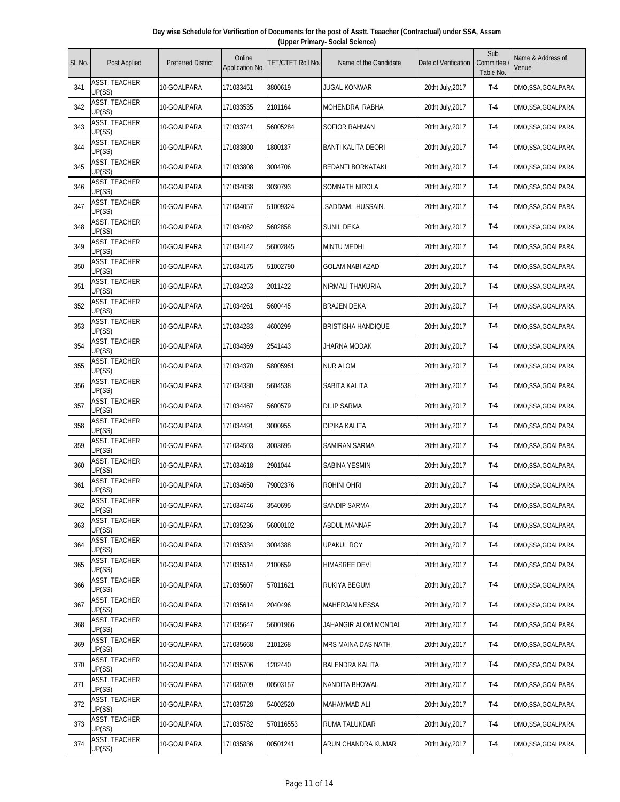| Day wise Schedule for Verification of Documents for the post of Asstt. Teaacher (Contractual) under SSA, Assam |                                 |  |  |  |  |  |  |  |  |  |
|----------------------------------------------------------------------------------------------------------------|---------------------------------|--|--|--|--|--|--|--|--|--|
|                                                                                                                | (Upper Primary- Social Science) |  |  |  |  |  |  |  |  |  |
|                                                                                                                |                                 |  |  |  |  |  |  |  |  |  |

| SI. No. | Post Applied                   | <b>Preferred District</b> | Online<br>Application No. | TET/CTET Roll No. | Name of the Candidate     | Date of Verification | Sub<br>Committee<br>Table No. | Name & Address of<br>Venue |
|---------|--------------------------------|---------------------------|---------------------------|-------------------|---------------------------|----------------------|-------------------------------|----------------------------|
| 341     | <b>ASST. TEACHER</b><br>UP(SS) | 10-GOALPARA               | 171033451                 | 3800619           | <b>JUGAL KONWAR</b>       | 20tht July, 2017     | T-4                           | DMO,SSA,GOALPARA           |
| 342     | <b>ASST. TEACHER</b><br>UP(SS) | 10-GOALPARA               | 171033535                 | 2101164           | MOHENDRA RABHA            | 20tht July, 2017     | T-4                           | DMO, SSA, GOALPARA         |
| 343     | <b>ASST. TEACHER</b><br>UP(SS) | 10-GOALPARA               | 171033741                 | 56005284          | SOFIOR RAHMAN             | 20tht July, 2017     | T-4                           | DMO,SSA,GOALPARA           |
| 344     | <b>ASST. TEACHER</b><br>UP(SS) | 10-GOALPARA               | 171033800                 | 1800137           | BANTI KALITA DEORI        | 20tht July, 2017     | T-4                           | DMO,SSA,GOALPARA           |
| 345     | <b>ASST. TEACHER</b><br>UP(SS) | 10-GOALPARA               | 171033808                 | 3004706           | BEDANTI BORKATAKI         | 20tht July, 2017     | $T-4$                         | DMO, SSA, GOALPARA         |
| 346     | <b>ASST. TEACHER</b><br>UP(SS) | 10-GOALPARA               | 171034038                 | 3030793           | SOMNATH NIROLA            | 20tht July, 2017     | T-4                           | DMO, SSA, GOALPARA         |
| 347     | <b>ASST. TEACHER</b><br>UP(SS) | 10-GOALPARA               | 171034057                 | 51009324          | .saddam. .hussain.        | 20tht July, 2017     | T-4                           | DMO,SSA,GOALPARA           |
| 348     | <b>ASST. TEACHER</b><br>UP(SS) | 10-GOALPARA               | 171034062                 | 5602858           | SUNIL DEKA                | 20tht July, 2017     | T-4                           | DMO,SSA,GOALPARA           |
| 349     | ASST. TEACHER<br>UP(SS)        | 10-GOALPARA               | 171034142                 | 56002845          | <b>MINTU MEDHI</b>        | 20tht July, 2017     | T-4                           | DMO, SSA, GOALPARA         |
| 350     | ASST. TEACHER<br>UP(SS)        | 10-GOALPARA               | 171034175                 | 51002790          | GOLAM NABI AZAD           | 20tht July, 2017     | T-4                           | DMO, SSA, GOALPARA         |
| 351     | <b>ASST. TEACHER</b><br>UP(SS) | 10-GOALPARA               | 171034253                 | 2011422           | NIRMALI THAKURIA          | 20tht July, 2017     | T-4                           | DMO,SSA,GOALPARA           |
| 352     | <b>ASST. TEACHER</b><br>UP(SS) | 10-GOALPARA               | 171034261                 | 5600445           | <b>BRAJEN DEKA</b>        | 20tht July, 2017     | T-4                           | DMO,SSA,GOALPARA           |
| 353     | <b>ASST. TEACHER</b><br>UP(SS) | 10-GOALPARA               | 171034283                 | 4600299           | <b>BRISTISHA HANDIQUE</b> | 20tht July, 2017     | T-4                           | DMO, SSA, GOALPARA         |
| 354     | ASST. TEACHER<br>UP(SS)        | 10-GOALPARA               | 171034369                 | 2541443           | JHARNA MODAK              | 20tht July, 2017     | T-4                           | DMO, SSA, GOALPARA         |
| 355     | <b>ASST. TEACHER</b><br>UP(SS) | 10-GOALPARA               | 171034370                 | 58005951          | <b>NUR ALOM</b>           | 20tht July, 2017     | T-4                           | DMO, SSA, GOALPARA         |
| 356     | <b>ASST. TEACHER</b><br>UP(SS) | 10-GOALPARA               | 171034380                 | 5604538           | SABITA KALITA             | 20tht July, 2017     | $T-4$                         | DMO, SSA, GOALPARA         |
| 357     | <b>ASST. TEACHER</b><br>UP(SS) | 10-GOALPARA               | 171034467                 | 5600579           | <b>DILIP SARMA</b>        | 20tht July, 2017     | T-4                           | DMO,SSA,GOALPARA           |
| 358     | ASST. TEACHER<br>UP(SS)        | 10-GOALPARA               | 171034491                 | 3000955           | DIPIKA KALITA             | 20tht July, 2017     | T-4                           | DMO,SSA,GOALPARA           |
| 359     | <b>ASST. TEACHER</b><br>UP(SS) | 10-GOALPARA               | 171034503                 | 3003695           | SAMIRAN SARMA             | 20tht July, 2017     | T-4                           | DMO, SSA, GOALPARA         |
| 360     | <b>ASST. TEACHER</b><br>UP(SS) | 10-GOALPARA               | 171034618                 | 2901044           | SABINA YESMIN             | 20tht July, 2017     | T-4                           | DMO, SSA, GOALPARA         |
| 361     | ASST. TEACHER<br>UP(SS)        | 10-GOALPARA               | 171034650                 | 79002376          | ROHINI OHRI               | 20tht July, 2017     | T-4                           | DMO,SSA,GOALPARA           |
| 362     | <b>ASST. TEACHER</b><br>UP(SS) | 10-GOALPARA               | 171034746                 | 3540695           | SANDIP SARMA              | 20tht July, 2017     | $T-4$                         | DMO, SSA, GOALPARA         |
| 363     | ASST. TEACHER<br>UP(SS)        | 10-GOALPARA               | 171035236                 | 56000102          | ABDUL MANNAF              | 20tht July, 2017     | $T-4$                         | DMO, SSA, GOALPARA         |
| 364     | ASST. TEACHER<br>UP(SS)        | 10-GOALPARA               | 171035334                 | 3004388           | <b>UPAKUL ROY</b>         | 20tht July, 2017     | T-4                           | DMO,SSA,GOALPARA           |
| 365     | <b>ASST. TEACHER</b><br>UP(SS) | 10-GOALPARA               | 171035514                 | 2100659           | HIMASREE DEVI             | 20tht July, 2017     | T-4                           | DMO, SSA, GOALPARA         |
| 366     | <b>ASST. TEACHER</b><br>UP(SS) | 10-GOALPARA               | 171035607                 | 57011621          | RUKIYA BEGUM              | 20tht July, 2017     | T-4                           | DMO,SSA,GOALPARA           |
| 367     | ASST. TEACHER<br>UP(SS)        | 10-GOALPARA               | 171035614                 | 2040496           | <b>MAHERJAN NESSA</b>     | 20tht July, 2017     | T-4                           | DMO, SSA, GOALPARA         |
| 368     | ASST. TEACHER<br>UP(SS)        | 10-GOALPARA               | 171035647                 | 56001966          | JAHANGIR ALOM MONDAL      | 20tht July, 2017     | T-4                           | DMO,SSA,GOALPARA           |
| 369     | <b>ASST. TEACHER</b><br>UP(SS) | 10-GOALPARA               | 171035668                 | 2101268           | MRS MAINA DAS NATH        | 20tht July, 2017     | $T-4$                         | DMO,SSA,GOALPARA           |
| 370     | ASST. TEACHER<br>UP(SS)        | 10-GOALPARA               | 171035706                 | 1202440           | BALENDRA KALITA           | 20tht July, 2017     | $T-4$                         | DMO, SSA, GOALPARA         |
| 371     | <b>ASST. TEACHER</b><br>UP(SS) | 10-GOALPARA               | 171035709                 | 00503157          | NANDITA BHOWAL            | 20tht July, 2017     | $T-4$                         | DMO, SSA, GOALPARA         |
| 372     | <b>ASST. TEACHER</b><br>UP(SS) | 10-GOALPARA               | 171035728                 | 54002520          | MAHAMMAD ALI              | 20tht July, 2017     | T-4                           | DMO,SSA,GOALPARA           |
| 373     | ASST. TEACHER<br>UP(SS)        | 10-GOALPARA               | 171035782                 | 570116553         | RUMA TALUKDAR             | 20tht July, 2017     | T-4                           | DMO,SSA,GOALPARA           |
| 374     | ASST. TEACHER<br>UP(SS)        | 10-GOALPARA               | 171035836                 | 00501241          | ARUN CHANDRA KUMAR        | 20tht July, 2017     | $T-4$                         | DMO, SSA, GOALPARA         |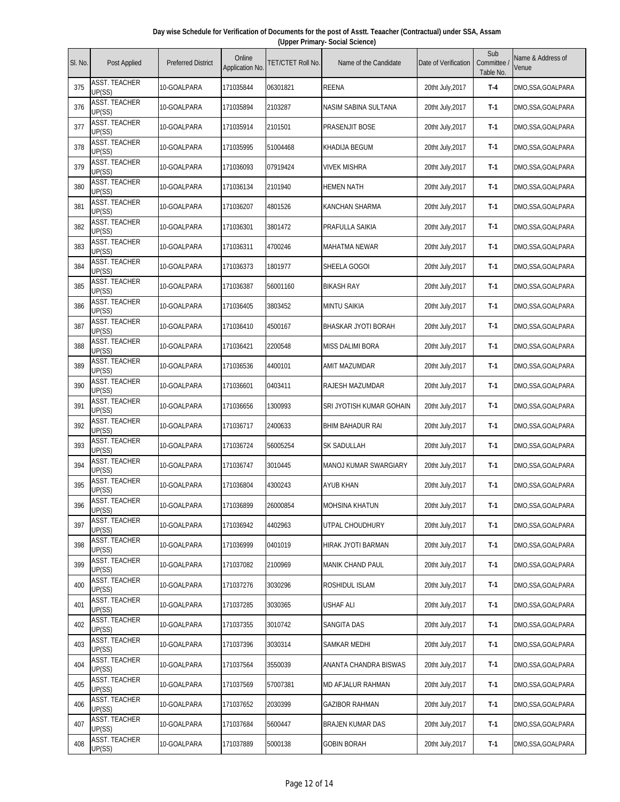| Day wise Schedule for Verification of Documents for the post of Asstt. Teaacher (Contractual) under SSA, Assam |                                 |  |  |  |  |  |  |  |  |  |
|----------------------------------------------------------------------------------------------------------------|---------------------------------|--|--|--|--|--|--|--|--|--|
|                                                                                                                | (Upper Primary- Social Science) |  |  |  |  |  |  |  |  |  |
|                                                                                                                |                                 |  |  |  |  |  |  |  |  |  |

| SI. No. | Post Applied                   | <b>Preferred District</b> | Online<br>Application No. | <b>TET/CTET Roll No.</b> | Name of the Candidate      | Date of Verification | Sub<br>Committee<br>Table No. | Name & Address of<br>Venue |
|---------|--------------------------------|---------------------------|---------------------------|--------------------------|----------------------------|----------------------|-------------------------------|----------------------------|
| 375     | ASST. TEACHER<br>UP(SS)        | 10-GOALPARA               | 171035844                 | 06301821                 | <b>REENA</b>               | 20tht July, 2017     | $T-4$                         | DMO, SSA, GOALPARA         |
| 376     | <b>ASST. TEACHER</b><br>UP(SS) | 10-GOALPARA               | 171035894                 | 2103287                  | NASIM SABINA SULTANA       | 20tht July, 2017     | $T-1$                         | DMO, SSA, GOALPARA         |
| 377     | <b>ASST. TEACHER</b><br>UP(SS) | 10-GOALPARA               | 171035914                 | 2101501                  | PRASENJIT BOSE             | 20tht July, 2017     | $T-1$                         | DMO, SSA, GOALPARA         |
| 378     | <b>ASST. TEACHER</b><br>UP(SS) | 10-GOALPARA               | 171035995                 | 51004468                 | KHADIJA BEGUM              | 20tht July, 2017     | $T-1$                         | DMO, SSA, GOALPARA         |
| 379     | <b>ASST. TEACHER</b><br>UP(SS) | 10-GOALPARA               | 171036093                 | 07919424                 | <b>VIVEK MISHRA</b>        | 20tht July, 2017     | $T-1$                         | DMO, SSA, GOALPARA         |
| 380     | <b>ASST. TEACHER</b><br>UP(SS) | 10-GOALPARA               | 171036134                 | 2101940                  | <b>HEMEN NATH</b>          | 20tht July, 2017     | $T-1$                         | DMO, SSA, GOALPARA         |
| 381     | <b>ASST. TEACHER</b><br>UP(SS) | 10-GOALPARA               | 171036207                 | 4801526                  | KANCHAN SHARMA             | 20tht July, 2017     | $T-1$                         | DMO, SSA, GOALPARA         |
| 382     | <b>ASST. TEACHER</b><br>UP(SS) | 10-GOALPARA               | 171036301                 | 3801472                  | PRAFULLA SAIKIA            | 20tht July, 2017     | $T-1$                         | DMO, SSA, GOALPARA         |
| 383     | ASST. TEACHER<br>UP(SS)        | 10-GOALPARA               | 171036311                 | 4700246                  | <b>MAHATMA NEWAR</b>       | 20tht July, 2017     | $T-1$                         | DMO, SSA, GOALPARA         |
| 384     | <b>ASST. TEACHER</b><br>UP(SS) | 10-GOALPARA               | 171036373                 | 1801977                  | SHEELA GOGOI               | 20tht July, 2017     | $T-1$                         | DMO, SSA, GOALPARA         |
| 385     | <b>ASST. TEACHER</b><br>UP(SS) | 10-GOALPARA               | 171036387                 | 56001160                 | BIKASH RAY                 | 20tht July, 2017     | $T-1$                         | DMO, SSA, GOALPARA         |
| 386     | <b>ASST. TEACHER</b><br>UP(SS) | 10-GOALPARA               | 171036405                 | 3803452                  | <b>MINTU SAIKIA</b>        | 20tht July, 2017     | $T-1$                         | DMO, SSA, GOALPARA         |
| 387     | <b>ASST. TEACHER</b><br>UP(SS) | 10-GOALPARA               | 171036410                 | 4500167                  | <b>BHASKAR JYOTI BORAH</b> | 20tht July, 2017     | $T-1$                         | DMO, SSA, GOALPARA         |
| 388     | ASST. TEACHER<br>UP(SS)        | 10-GOALPARA               | 171036421                 | 2200548                  | MISS DALIMI BORA           | 20tht July, 2017     | $T-1$                         | DMO,SSA,GOALPARA           |
| 389     | <b>ASST. TEACHER</b><br>UP(SS) | 10-GOALPARA               | 171036536                 | 4400101                  | AMIT MAZUMDAR              | 20tht July, 2017     | $T-1$                         | DMO, SSA, GOALPARA         |
| 390     | <b>ASST. TEACHER</b><br>UP(SS) | 10-GOALPARA               | 171036601                 | 0403411                  | RAJESH MAZUMDAR            | 20tht July, 2017     | $T-1$                         | DMO, SSA, GOALPARA         |
| 391     | ASST. TEACHER<br>UP(SS)        | 10-GOALPARA               | 171036656                 | 1300993                  | SRI JYOTISH KUMAR GOHAIN   | 20tht July, 2017     | $T-1$                         | DMO, SSA, GOALPARA         |
| 392     | <b>ASST. TEACHER</b><br>UP(SS) | 10-GOALPARA               | 171036717                 | 2400633                  | BHIM BAHADUR RAI           | 20tht July, 2017     | $T-1$                         | DMO, SSA, GOALPARA         |
| 393     | <b>ASST. TEACHER</b><br>UP(SS) | 10-GOALPARA               | 171036724                 | 56005254                 | SK SADULLAH                | 20tht July, 2017     | $T-1$                         | DMO, SSA, GOALPARA         |
| 394     | ASST. TEACHER<br>UP(SS)        | 10-GOALPARA               | 171036747                 | 3010445                  | MANOJ KUMAR SWARGIARY      | 20tht July, 2017     | $T-1$                         | DMO, SSA, GOALPARA         |
| 395     | <b>ASST. TEACHER</b><br>UP(SS) | 10-GOALPARA               | 171036804                 | 4300243                  | <b>AYUB KHAN</b>           | 20tht July, 2017     | $T-1$                         | DMO, SSA, GOALPARA         |
| 396     | <b>ASST. TEACHER</b><br>UP(SS) | 10-GOALPARA               | 171036899                 | 26000854                 | <b>MOHSINA KHATUN</b>      | 20tht July, 2017     | $T-1$                         | DMO, SSA, GOALPARA         |
| 397     | <b>ASST. TEACHER</b><br>UP(SS) | 10-GOALPARA               | 171036942                 | 4402963                  | UTPAL CHOUDHURY            | 20tht July, 2017     | $T-1$                         | DMO, SSA, GOALPARA         |
| 398     | <b>ASST. TEACHER</b><br>UP(SS) | 10-GOALPARA               | 171036999                 | 0401019                  | HIRAK JYOTI BARMAN         | 20tht July, 2017     | T-1                           | DMO,SSA,GOALPARA           |
| 399     | <b>ASST. TEACHER</b><br>UP(SS) | 10-GOALPARA               | 171037082                 | 2100969                  | MANIK CHAND PAUL           | 20tht July, 2017     | T-1                           | DMO,SSA,GOALPARA           |
| 400     | <b>ASST. TEACHER</b><br>UP(SS) | 10-GOALPARA               | 171037276                 | 3030296                  | ROSHIDUL ISLAM             | 20tht July, 2017     | $T-1$                         | DMO, SSA, GOALPARA         |
| 401     | <b>ASST. TEACHER</b><br>UP(SS) | 10-GOALPARA               | 171037285                 | 3030365                  | USHAF ALI                  | 20tht July, 2017     | T-1                           | DMO, SSA, GOALPARA         |
| 402     | <b>ASST. TEACHER</b><br>UP(SS) | 10-GOALPARA               | 171037355                 | 3010742                  | SANGITA DAS                | 20tht July, 2017     | T-1                           | DMO, SSA, GOALPARA         |
| 403     | <b>ASST. TEACHER</b><br>UP(SS) | 10-GOALPARA               | 171037396                 | 3030314                  | SAMKAR MEDHI               | 20tht July, 2017     | T-1                           | DMO, SSA, GOALPARA         |
| 404     | <b>ASST. TEACHER</b><br>UP(SS) | 10-GOALPARA               | 171037564                 | 3550039                  | ANANTA CHANDRA BISWAS      | 20tht July, 2017     | T-1                           | DMO, SSA, GOALPARA         |
| 405     | <b>ASST. TEACHER</b><br>UP(SS) | 10-GOALPARA               | 171037569                 | 57007381                 | MD AFJALUR RAHMAN          | 20tht July, 2017     | T-1                           | DMO, SSA, GOALPARA         |
| 406     | <b>ASST. TEACHER</b><br>UP(SS) | 10-GOALPARA               | 171037652                 | 2030399                  | <b>GAZIBOR RAHMAN</b>      | 20tht July, 2017     | T-1                           | DMO, SSA, GOALPARA         |
| 407     | <b>ASST. TEACHER</b><br>UP(SS) | 10-GOALPARA               | 171037684                 | 5600447                  | BRAJEN KUMAR DAS           | 20tht July, 2017     | T-1                           | DMO, SSA, GOALPARA         |
| 408     | ASST. TEACHER<br>UP(SS)        | 10-GOALPARA               | 171037889                 | 5000138                  | <b>GOBIN BORAH</b>         | 20tht July, 2017     | $T-1$                         | DMO, SSA, GOALPARA         |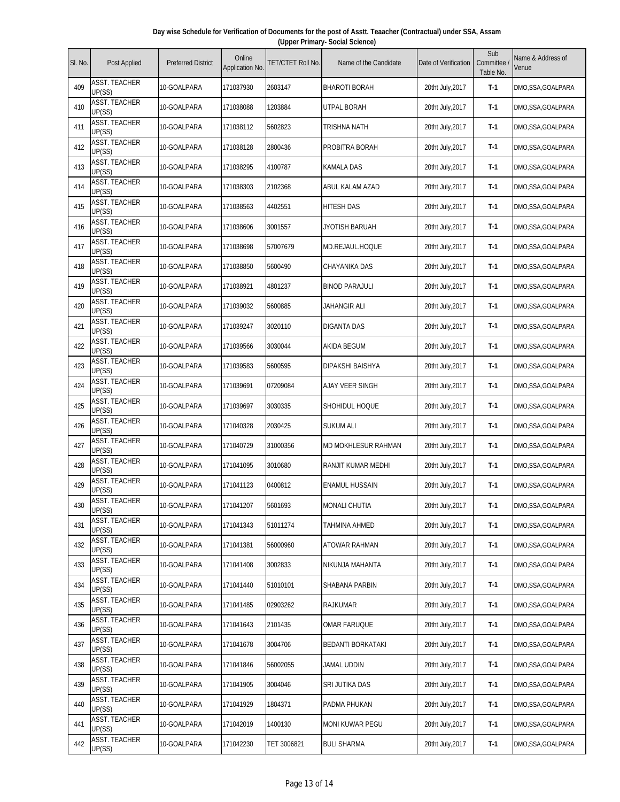| Day wise Schedule for Verification of Documents for the post of Asstt. Teaacher (Contractual) under SSA, Assam |  |
|----------------------------------------------------------------------------------------------------------------|--|
| (Upper Primary- Social Science)                                                                                |  |

| SI. No. | Post Applied                   | <b>Preferred District</b> | Online<br>Application No. | TET/CTET Roll No. | Name of the Candidate      | Date of Verification | Sub<br>Committee<br>Table No. | Name & Address of<br>Venue |
|---------|--------------------------------|---------------------------|---------------------------|-------------------|----------------------------|----------------------|-------------------------------|----------------------------|
| 409     | ASST. TEACHER<br>UP(SS)        | 10-GOALPARA               | 171037930                 | 2603147           | <b>BHAROTI BORAH</b>       | 20tht July, 2017     | T-1                           | DMO,SSA,GOALPARA           |
| 410     | <b>ASST. TEACHER</b><br>UP(SS) | 10-GOALPARA               | 171038088                 | 1203884           | <b>UTPAL BORAH</b>         | 20tht July, 2017     | $T-1$                         | DMO,SSA,GOALPARA           |
| 411     | <b>ASST. TEACHER</b><br>UP(SS) | 10-GOALPARA               | 171038112                 | 5602823           | TRISHNA NATH               | 20tht July, 2017     | T-1                           | DMO,SSA,GOALPARA           |
| 412     | <b>ASST. TEACHER</b><br>UP(SS) | 10-GOALPARA               | 171038128                 | 2800436           | PROBITRA BORAH             | 20tht July, 2017     | $T-1$                         | DMO, SSA, GOALPARA         |
| 413     | <b>ASST. TEACHER</b><br>UP(SS) | 10-GOALPARA               | 171038295                 | 4100787           | <b>KAMALA DAS</b>          | 20tht July, 2017     | $T-1$                         | DMO,SSA,GOALPARA           |
| 414     | <b>ASST. TEACHER</b><br>UP(SS) | 10-GOALPARA               | 171038303                 | 2102368           | ABUL KALAM AZAD            | 20tht July, 2017     | $T-1$                         | DMO,SSA,GOALPARA           |
| 415     | <b>ASST. TEACHER</b><br>UP(SS) | 10-GOALPARA               | 171038563                 | 4402551           | <b>HITESH DAS</b>          | 20tht July, 2017     | $T-1$                         | DMO,SSA,GOALPARA           |
| 416     | ASST. TEACHER<br>UP(SS)        | 10-GOALPARA               | 171038606                 | 3001557           | JYOTISH BARUAH             | 20tht July, 2017     | $T-1$                         | DMO,SSA,GOALPARA           |
| 417     | ASST. TEACHER<br>UP(SS)        | 10-GOALPARA               | 171038698                 | 57007679          | MD.REJAUL.HOQUE            | 20tht July, 2017     | $T-1$                         | DMO,SSA,GOALPARA           |
| 418     | <b>ASST. TEACHER</b><br>UP(SS) | 10-GOALPARA               | 171038850                 | 5600490           | CHAYANIKA DAS              | 20tht July, 2017     | $T-1$                         | DMO,SSA,GOALPARA           |
| 419     | <b>ASST. TEACHER</b><br>UP(SS) | 10-GOALPARA               | 171038921                 | 4801237           | <b>BINOD PARAJULI</b>      | 20tht July, 2017     | T-1                           | DMO,SSA,GOALPARA           |
| 420     | <b>ASST. TEACHER</b><br>UP(SS) | 10-GOALPARA               | 171039032                 | 5600885           | JAHANGIR ALI               | 20tht July, 2017     | $T-1$                         | DMO,SSA,GOALPARA           |
| 421     | <b>ASST. TEACHER</b><br>UP(SS) | 10-GOALPARA               | 171039247                 | 3020110           | DIGANTA DAS                | 20tht July, 2017     | $T-1$                         | DMO,SSA,GOALPARA           |
| 422     | <b>ASST. TEACHER</b><br>UP(SS) | 10-GOALPARA               | 171039566                 | 3030044           | AKIDA BEGUM                | 20tht July, 2017     | Т-1                           | DMO,SSA,GOALPARA           |
| 423     | ASST. TEACHER<br>UP(SS)        | 10-GOALPARA               | 171039583                 | 5600595           | DIPAKSHI BAISHYA           | 20tht July, 2017     | $T-1$                         | DMO,SSA,GOALPARA           |
| 424     | <b>ASST. TEACHER</b><br>UP(SS) | 10-GOALPARA               | 171039691                 | 07209084          | <b>AJAY VEER SINGH</b>     | 20tht July, 2017     | $T-1$                         | DMO,SSA,GOALPARA           |
| 425     | ASST. TEACHER<br>UP(SS)        | 10-GOALPARA               | 171039697                 | 3030335           | SHOHIDUL HOQUE             | 20tht July, 2017     | $T-1$                         | DMO,SSA,GOALPARA           |
| 426     | <b>ASST. TEACHER</b><br>UP(SS) | 10-GOALPARA               | 171040328                 | 2030425           | <b>SUKUM ALI</b>           | 20tht July, 2017     | $T-1$                         | DMO,SSA,GOALPARA           |
| 427     | <b>ASST. TEACHER</b><br>UP(SS) | 10-GOALPARA               | 171040729                 | 31000356          | <b>MD MOKHLESUR RAHMAN</b> | 20tht July, 2017     | $T-1$                         | DMO,SSA,GOALPARA           |
| 428     | <b>ASST. TEACHER</b><br>UP(SS) | 10-GOALPARA               | 171041095                 | 3010680           | RANJIT KUMAR MEDHI         | 20tht July, 2017     | $T-1$                         | DMO,SSA,GOALPARA           |
| 429     | <b>ASST. TEACHER</b><br>UP(SS) | 10-GOALPARA               | 171041123                 | 0400812           | <b>ENAMUL HUSSAIN</b>      | 20tht July, 2017     | $T-1$                         | DMO,SSA,GOALPARA           |
| 430     | <b>ASST. TEACHER</b><br>UP(SS) | 10-GOALPARA               | 171041207                 | 5601693           | <b>MONALI CHUTIA</b>       | 20tht July, 2017     | T-1                           | DMO,SSA,GOALPARA           |
| 431     | ASST. TEACHER<br>UP(SS)        | 10-GOALPARA               | 171041343                 | 51011274          | TAHMINA AHMED              | 20tht July, 2017     | $T-1$                         | DMO,SSA,GOALPARA           |
| 432     | <b>ASST. TEACHER</b><br>UP(SS) | 10-GOALPARA               | 171041381                 | 56000960          | ATOWAR RAHMAN              | 20tht July, 2017     | $T-1$                         | DMO,SSA,GOALPARA           |
| 433     | <b>ASST. TEACHER</b><br>UP(SS) | 10-GOALPARA               | 171041408                 | 3002833           | NIKUNJA MAHANTA            | 20tht July, 2017     | $T-1$                         | DMO,SSA,GOALPARA           |
| 434     | <b>ASST. TEACHER</b><br>UP(SS) | 10-GOALPARA               | 171041440                 | 51010101          | SHABANA PARBIN             | 20tht July, 2017     | $T-1$                         | DMO,SSA,GOALPARA           |
| 435     | <b>ASST. TEACHER</b><br>UP(SS) | 10-GOALPARA               | 171041485                 | 02903262          | <b>RAJKUMAR</b>            | 20tht July, 2017     | $T-1$                         | DMO,SSA,GOALPARA           |
| 436     | ASST. TEACHER<br>UP(SS)        | 10-GOALPARA               | 171041643                 | 2101435           | <b>OMAR FARUQUE</b>        | 20tht July, 2017     | $T-1$                         | DMO,SSA,GOALPARA           |
| 437     | <b>ASST. TEACHER</b><br>UP(SS) | 10-GOALPARA               | 171041678                 | 3004706           | BEDANTI BORKATAKI          | 20tht July, 2017     | $T-1$                         | DMO,SSA,GOALPARA           |
| 438     | <b>ASST. TEACHER</b><br>UP(SS) | 10-GOALPARA               | 171041846                 | 56002055          | JAMAL UDDIN                | 20tht July, 2017     | $T-1$                         | DMO,SSA,GOALPARA           |
| 439     | ASST. TEACHER<br>UP(SS)        | 10-GOALPARA               | 171041905                 | 3004046           | SRI JUTIKA DAS             | 20tht July, 2017     | $T-1$                         | DMO,SSA,GOALPARA           |
| 440     | <b>ASST. TEACHER</b><br>UP(SS) | 10-GOALPARA               | 171041929                 | 1804371           | PADMA PHUKAN               | 20tht July, 2017     | T-1                           | DMO,SSA,GOALPARA           |
| 441     | ASST. TEACHER<br>UP(SS)        | 10-GOALPARA               | 171042019                 | 1400130           | <b>MONI KUWAR PEGU</b>     | 20tht July, 2017     | $T-1$                         | DMO,SSA,GOALPARA           |
| 442     | ASST. TEACHER<br>UP(SS)        | 10-GOALPARA               | 171042230                 | TET 3006821       | <b>BULI SHARMA</b>         | 20tht July, 2017     | $T-1$                         | DMO,SSA,GOALPARA           |